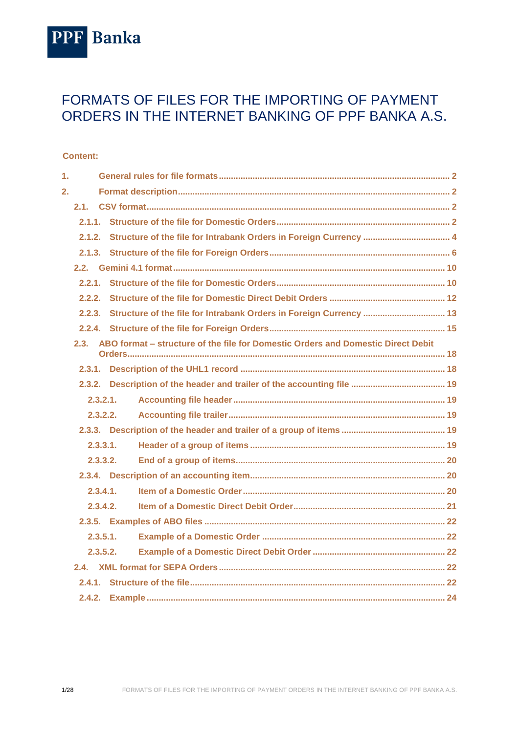

# FORMATS OF FILES FOR THE IMPORTING OF PAYMENT ORDERS IN THE INTERNET BANKING OF PPF BANKA A.S.

#### **Content:**

| 1. |          |                                                                                       |  |  |  |  |
|----|----------|---------------------------------------------------------------------------------------|--|--|--|--|
| 2. |          |                                                                                       |  |  |  |  |
|    | 2.1.     |                                                                                       |  |  |  |  |
|    |          |                                                                                       |  |  |  |  |
|    | 2.1.2.   |                                                                                       |  |  |  |  |
|    |          |                                                                                       |  |  |  |  |
|    |          |                                                                                       |  |  |  |  |
|    |          |                                                                                       |  |  |  |  |
|    |          |                                                                                       |  |  |  |  |
|    |          |                                                                                       |  |  |  |  |
|    |          |                                                                                       |  |  |  |  |
|    |          | 2.3. ABO format – structure of the file for Domestic Orders and Domestic Direct Debit |  |  |  |  |
|    |          |                                                                                       |  |  |  |  |
|    |          |                                                                                       |  |  |  |  |
|    | 2.3.2.1. |                                                                                       |  |  |  |  |
|    | 2.3.2.2. |                                                                                       |  |  |  |  |
|    |          |                                                                                       |  |  |  |  |
|    | 2.3.3.1. |                                                                                       |  |  |  |  |
|    | 2.3.3.2. |                                                                                       |  |  |  |  |
|    |          |                                                                                       |  |  |  |  |
|    | 2.3.4.1. |                                                                                       |  |  |  |  |
|    | 2.3.4.2. |                                                                                       |  |  |  |  |
|    |          |                                                                                       |  |  |  |  |
|    | 2.3.5.1. |                                                                                       |  |  |  |  |
|    | 2.3.5.2. |                                                                                       |  |  |  |  |
|    |          |                                                                                       |  |  |  |  |
|    |          |                                                                                       |  |  |  |  |
|    |          |                                                                                       |  |  |  |  |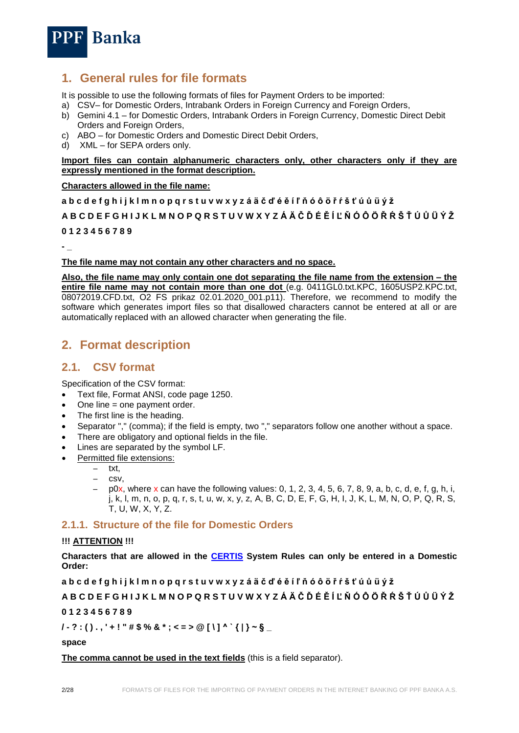

## <span id="page-1-0"></span>**1. General rules for file formats**

It is possible to use the following formats of files for Payment Orders to be imported:

- a) CSV– for Domestic Orders, Intrabank Orders in Foreign Currency and Foreign Orders,
- b) Gemini 4.1 for Domestic Orders, Intrabank Orders in Foreign Currency, Domestic Direct Debit Orders and Foreign Orders,
- c) ABO for Domestic Orders and Domestic Direct Debit Orders,
- d) XML for SEPA orders only.

#### **Import files can contain alphanumeric characters only, other characters only if they are expressly mentioned in the format description.**

#### **Characters allowed in the file name:**

**a b c d e f g h i j k l m n o p q r s t u v w x y z á ä č ď é ě í ľ ň ó ô ö ř ŕ š ť ú ů ü ý ž**

**A B C D E F G H I J K L M N O P Q R S T U V W X Y Z Á Ä Č Ď É Ě Í Ľ Ň Ó Ô Ö Ř Ŕ Š Ť Ú Ů Ü Ý Ž 0 1 2 3 4 5 6 7 8 9**

**- \_**

#### **The file name may not contain any other characters and no space.**

**Also, the file name may only contain one dot separating the file name from the extension – the entire file name may not contain more than one dot** (e.g. 0411GL0.txt.KPC, 1605USP2.KPC.txt, 08072019.CFD.txt, O2 FS prikaz 02.01.2020\_001.p11). Therefore, we recommend to modify the software which generates import files so that disallowed characters cannot be entered at all or are automatically replaced with an allowed character when generating the file.

# <span id="page-1-1"></span>**2. Format description**

## <span id="page-1-2"></span>**2.1. CSV format**

Specification of the CSV format:

- Text file, Format ANSI, code page 1250.
- One line = one payment order.
- The first line is the heading.
- Separator "," (comma); if the field is empty, two "," separators follow one another without a space.
- There are obligatory and optional fields in the file.
- Lines are separated by the symbol LF.
- Permitted file extensions:
	- txt, – csv,
	- $p0x$ , where x can have the following values: 0, 1, 2, 3, 4, 5, 6, 7, 8, 9, a, b, c, d, e, f, g, h, i, j, k, l, m, n, o, p, q, r, s, t, u, w, x, y, z, A, B, C, D, E, F, G, H, I, J, K, L, M, N, O, P, Q, R, S, T, U, W, X, Y, Z.

## <span id="page-1-3"></span>**2.1.1. Structure of the file for Domestic Orders**

#### **!!! ATTENTION !!!**

**Characters that are allowed in the [CERTIS](http://www.cnb.cz/cs/platebni_styk/certis/index.html) System Rules can only be entered in a Domestic Order:**

**a b c d e f g h i j k l m n o p q r s t u v w x y z á ä č ď é ě í ľ ň ó ô ö ř ŕ š ť ú ů ü ý ž**

### **A B C D E F G H I J K L M N O P Q R S T U V W X Y Z Á Ä Č Ď É Ě Í Ľ Ň Ó Ô Ö Ř Ŕ Š Ť Ú Ů Ü Ý Ž**

**0 1 2 3 4 5 6 7 8 9**

**/ - ? : ( ) . , ' + ! " # \$ % & \* ; < = > @ [ \ ] ^ ` { | } ~ § \_**

**space**

**The comma cannot be used in the text fields** (this is a field separator).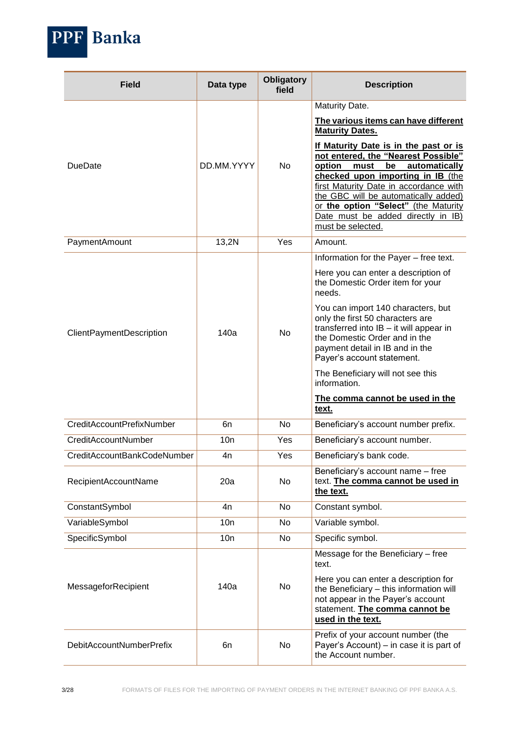

| <b>Field</b>                    | Data type  | <b>Obligatory</b><br>field | <b>Description</b>                                                                                                                                                                                                                                                                                                                              |
|---------------------------------|------------|----------------------------|-------------------------------------------------------------------------------------------------------------------------------------------------------------------------------------------------------------------------------------------------------------------------------------------------------------------------------------------------|
|                                 |            |                            | Maturity Date.                                                                                                                                                                                                                                                                                                                                  |
|                                 |            |                            | The various items can have different<br><b>Maturity Dates.</b>                                                                                                                                                                                                                                                                                  |
| DueDate                         | DD.MM.YYYY | No                         | If Maturity Date is in the past or is<br>not entered, the "Nearest Possible"<br>option<br>be<br>must<br>automatically<br>checked upon importing in IB (the<br>first Maturity Date in accordance with<br>the GBC will be automatically added)<br>or the option "Select" (the Maturity<br>Date must be added directly in IB)<br>must be selected. |
| PaymentAmount                   | 13,2N      | Yes                        | Amount.                                                                                                                                                                                                                                                                                                                                         |
|                                 |            |                            | Information for the Payer - free text.                                                                                                                                                                                                                                                                                                          |
|                                 |            |                            | Here you can enter a description of<br>the Domestic Order item for your<br>needs.                                                                                                                                                                                                                                                               |
| ClientPaymentDescription        | 140a       | No                         | You can import 140 characters, but<br>only the first 50 characters are<br>transferred into IB - it will appear in<br>the Domestic Order and in the<br>payment detail in IB and in the<br>Payer's account statement.                                                                                                                             |
|                                 |            |                            | The Beneficiary will not see this<br>information.                                                                                                                                                                                                                                                                                               |
|                                 |            |                            | The comma cannot be used in the<br>text.                                                                                                                                                                                                                                                                                                        |
| CreditAccountPrefixNumber       | 6n         | No.                        | Beneficiary's account number prefix.                                                                                                                                                                                                                                                                                                            |
| CreditAccountNumber             | 10n        | Yes                        | Beneficiary's account number.                                                                                                                                                                                                                                                                                                                   |
| CreditAccountBankCodeNumber     | 4n         | Yes                        | Beneficiary's bank code.                                                                                                                                                                                                                                                                                                                        |
| RecipientAccountName            | 20a        | No                         | Beneficiary's account name - free<br>text. The comma cannot be used in<br>the text.                                                                                                                                                                                                                                                             |
| ConstantSymbol                  | 4n         | No.                        | Constant symbol.                                                                                                                                                                                                                                                                                                                                |
| VariableSymbol                  | 10n        | No                         | Variable symbol.                                                                                                                                                                                                                                                                                                                                |
| SpecificSymbol                  | 10n        | No                         | Specific symbol.                                                                                                                                                                                                                                                                                                                                |
|                                 |            |                            | Message for the Beneficiary - free<br>text.                                                                                                                                                                                                                                                                                                     |
| MessageforRecipient             | 140a       | No.                        | Here you can enter a description for<br>the Beneficiary - this information will<br>not appear in the Payer's account<br>statement. The comma cannot be<br>used in the text.                                                                                                                                                                     |
| <b>DebitAccountNumberPrefix</b> | 6n         | No                         | Prefix of your account number (the<br>Payer's Account) – in case it is part of<br>the Account number.                                                                                                                                                                                                                                           |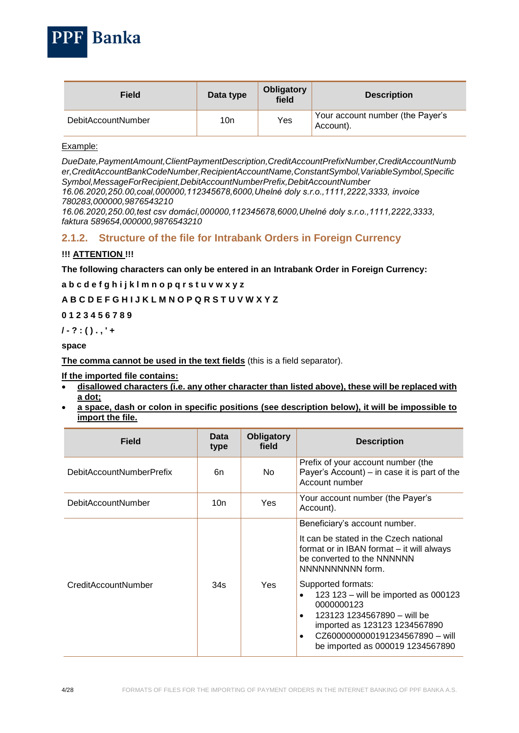

| Field                     | Data type | <b>Obligatory</b><br>field | <b>Description</b>                            |
|---------------------------|-----------|----------------------------|-----------------------------------------------|
| <b>DebitAccountNumber</b> | 10n       | Yes                        | Your account number (the Payer's<br>Account). |

#### Example:

*DueDate,PaymentAmount,ClientPaymentDescription,CreditAccountPrefixNumber,CreditAccountNumb er,CreditAccountBankCodeNumber,RecipientAccountName,ConstantSymbol,VariableSymbol,Specific Symbol,MessageForRecipient,DebitAccountNumberPrefix,DebitAccountNumber*

*16.06.2020,250.00,coal,000000,112345678,6000,Uhelné doly s.r.o.,1111,2222,3333, invoice 780283,000000,9876543210*

*16.06.2020,250.00,test csv domácí,000000,112345678,6000,Uhelné doly s.r.o.,1111,2222,3333, faktura 589654,000000,9876543210*

## <span id="page-3-0"></span>**2.1.2. Structure of the file for Intrabank Orders in Foreign Currency**

#### **!!! ATTENTION !!!**

**The following characters can only be entered in an Intrabank Order in Foreign Currency:**

**a b c d e f g h i j k l m n o p q r s t u v w x y z**

#### **A B C D E F G H I J K L M N O P Q R S T U V W X Y Z**

#### **0 1 2 3 4 5 6 7 8 9**

**/ - ? : ( ) . , ' +**

#### **space**

**The comma cannot be used in the text fields** (this is a field separator).

#### **If the imported file contains:**

- **disallowed characters (i.e. any other character than listed above), these will be replaced with a dot;**
- **a space, dash or colon in specific positions (see description below), it will be impossible to import the file.**

| Field                     | Data<br>type | <b>Obligatory</b><br>field | <b>Description</b>                                                                                                                                                                                                                                                                                                                                                                                     |
|---------------------------|--------------|----------------------------|--------------------------------------------------------------------------------------------------------------------------------------------------------------------------------------------------------------------------------------------------------------------------------------------------------------------------------------------------------------------------------------------------------|
| DebitAccountNumberPrefix  | 6n           | No.                        | Prefix of your account number (the<br>Payer's Account) – in case it is part of the<br>Account number                                                                                                                                                                                                                                                                                                   |
| <b>DebitAccountNumber</b> | 10n          | Yes                        | Your account number (the Payer's<br>Account).                                                                                                                                                                                                                                                                                                                                                          |
| CreditAccountNumber       | 34s          | Yes                        | Beneficiary's account number.<br>It can be stated in the Czech national<br>format or in IBAN format – it will always<br>be converted to the NNNNNN<br>NNNNNNNNNN form.<br>Supported formats:<br>123 123 - will be imported as 000123<br>0000000123<br>123123 1234567890 - will be<br>$\bullet$<br>imported as 123123 1234567890<br>CZ6000000000191234567890 - will<br>be imported as 000019 1234567890 |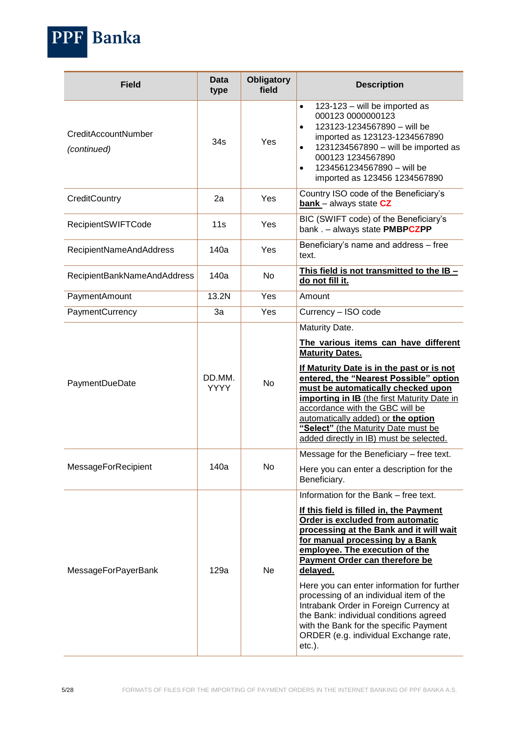| <b>Field</b>                       | <b>Data</b><br>type   | <b>Obligatory</b><br>field | <b>Description</b>                                                                                                                                                                                                                                                                                                                                                                                                                                                                                                                                           |
|------------------------------------|-----------------------|----------------------------|--------------------------------------------------------------------------------------------------------------------------------------------------------------------------------------------------------------------------------------------------------------------------------------------------------------------------------------------------------------------------------------------------------------------------------------------------------------------------------------------------------------------------------------------------------------|
| CreditAccountNumber<br>(continued) | 34s                   | Yes                        | 123-123 - will be imported as<br>$\bullet$<br>000123 0000000123<br>123123-1234567890 - will be<br>$\bullet$<br>imported as 123123-1234567890<br>1231234567890 - will be imported as<br>$\bullet$<br>000123 1234567890<br>1234561234567890 - will be<br>$\bullet$<br>imported as 123456 1234567890                                                                                                                                                                                                                                                            |
| CreditCountry                      | 2a                    | Yes                        | Country ISO code of the Beneficiary's<br><b>bank</b> - always state CZ                                                                                                                                                                                                                                                                                                                                                                                                                                                                                       |
| RecipientSWIFTCode                 | 11s                   | Yes                        | BIC (SWIFT code) of the Beneficiary's<br>bank . - always state PMBPCZPP                                                                                                                                                                                                                                                                                                                                                                                                                                                                                      |
| RecipientNameAndAddress            | 140a                  | Yes                        | Beneficiary's name and address - free<br>text.                                                                                                                                                                                                                                                                                                                                                                                                                                                                                                               |
| RecipientBankNameAndAddress        | 140a                  | No                         | This field is not transmitted to the IB -<br>do not fill it.                                                                                                                                                                                                                                                                                                                                                                                                                                                                                                 |
| PaymentAmount                      | 13.2N                 | Yes                        | Amount                                                                                                                                                                                                                                                                                                                                                                                                                                                                                                                                                       |
| PaymentCurrency                    | 3a                    | Yes                        | Currency - ISO code                                                                                                                                                                                                                                                                                                                                                                                                                                                                                                                                          |
| PaymentDueDate                     | DD.MM.<br><b>YYYY</b> | <b>No</b>                  | Maturity Date.<br>The various items can have different<br><b>Maturity Dates.</b><br>If Maturity Date is in the past or is not<br>entered, the "Nearest Possible" option<br>must be automatically checked upon<br>importing in IB (the first Maturity Date in<br>accordance with the GBC will be<br>automatically added) or the option<br>"Select" (the Maturity Date must be<br>added directly in IB) must be selected.                                                                                                                                      |
| MessageForRecipient                | 140a                  | No                         | Message for the Beneficiary - free text.<br>Here you can enter a description for the<br>Beneficiary.                                                                                                                                                                                                                                                                                                                                                                                                                                                         |
| MessageForPayerBank                | 129a                  | Ne                         | Information for the Bank – free text.<br>If this field is filled in, the Payment<br>Order is excluded from automatic<br>processing at the Bank and it will wait<br>for manual processing by a Bank<br>employee. The execution of the<br>Payment Order can therefore be<br>delayed.<br>Here you can enter information for further<br>processing of an individual item of the<br>Intrabank Order in Foreign Currency at<br>the Bank: individual conditions agreed<br>with the Bank for the specific Payment<br>ORDER (e.g. individual Exchange rate,<br>etc.). |

PPF Banka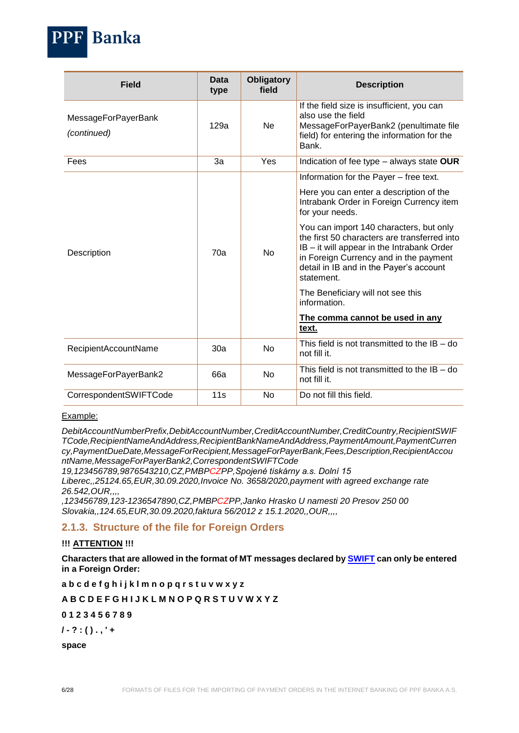

| <b>Field</b>                              | Data<br>type | <b>Obligatory</b><br>field | <b>Description</b>                                                                                                                                                                                                                       |
|-------------------------------------------|--------------|----------------------------|------------------------------------------------------------------------------------------------------------------------------------------------------------------------------------------------------------------------------------------|
| <b>MessageForPayerBank</b><br>(continued) | 129a         | Ne                         | If the field size is insufficient, you can<br>also use the field<br>MessageForPayerBank2 (penultimate file<br>field) for entering the information for the<br>Bank.                                                                       |
| Fees                                      | 3a           | Yes                        | Indication of fee type – always state OUR                                                                                                                                                                                                |
|                                           |              |                            | Information for the Payer - free text.                                                                                                                                                                                                   |
|                                           |              | No                         | Here you can enter a description of the<br>Intrabank Order in Foreign Currency item<br>for your needs.                                                                                                                                   |
| Description                               | 70a          |                            | You can import 140 characters, but only<br>the first 50 characters are transferred into<br>IB - it will appear in the Intrabank Order<br>in Foreign Currency and in the payment<br>detail in IB and in the Payer's account<br>statement. |
|                                           |              |                            | The Beneficiary will not see this<br>information.                                                                                                                                                                                        |
|                                           |              |                            | The comma cannot be used in any<br>text.                                                                                                                                                                                                 |
| RecipientAccountName                      | 30a          | No                         | This field is not transmitted to the $IB - do$<br>not fill it.                                                                                                                                                                           |
| MessageForPayerBank2                      | 66a          | <b>No</b>                  | This field is not transmitted to the $IB - do$<br>not fill it.                                                                                                                                                                           |
| CorrespondentSWIFTCode                    | 11s          | No                         | Do not fill this field.                                                                                                                                                                                                                  |

#### Example:

*DebitAccountNumberPrefix,DebitAccountNumber,CreditAccountNumber,CreditCountry,RecipientSWIF TCode,RecipientNameAndAddress,RecipientBankNameAndAddress,PaymentAmount,PaymentCurren cy,PaymentDueDate,MessageForRecipient,MessageForPayerBank,Fees,Description,RecipientAccou ntName,MessageForPayerBank2,CorrespondentSWIFTCode*

*19,123456789,9876543210,CZ,PMBPCZPP,Spojené tiskárny a.s. Dolní 15 Liberec,,25124.65,EUR,30.09.2020,Invoice No. 3658/2020,payment with agreed exchange rate 26.542,OUR,,,,*

*,123456789,123-1236547890,CZ,PMBPCZPP,Janko Hrasko U namesti 20 Presov 250 00 Slovakia,,124.65,EUR,30.09.2020,faktura 56/2012 z 15.1.2020,,OUR,,,,*

### <span id="page-5-0"></span>**2.1.3. Structure of the file for Foreign Orders**

#### **!!! ATTENTION !!!**

**Characters that are allowed in the format of MT messages declared by [SWIFT](http://www.swift.com/) can only be entered in a Foreign Order:**

**a b c d e f g h i j k l m n o p q r s t u v w x y z**

**A B C D E F G H I J K L M N O P Q R S T U V W X Y Z**

**0 1 2 3 4 5 6 7 8 9**

**/ - ? : ( ) . , ' +**

**space**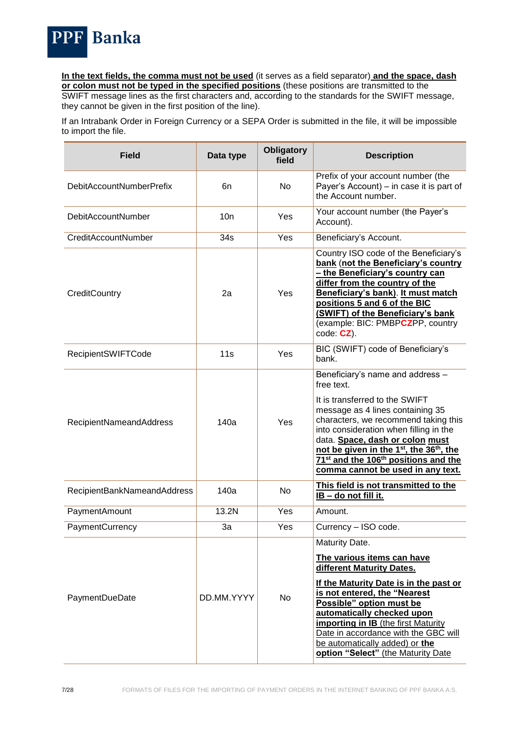

**In the text fields, the comma must not be used** (it serves as a field separator) **and the space, dash or colon must not be typed in the specified positions** (these positions are transmitted to the SWIFT message lines as the first characters and, according to the standards for the SWIFT message, they cannot be given in the first position of the line).

If an Intrabank Order in Foreign Currency or a SEPA Order is submitted in the file, it will be impossible to import the file.

| <b>Field</b>                | Data type  | <b>Obligatory</b><br>field | <b>Description</b>                                                                                                                                                                                                                                                                                                                                                                                                 |
|-----------------------------|------------|----------------------------|--------------------------------------------------------------------------------------------------------------------------------------------------------------------------------------------------------------------------------------------------------------------------------------------------------------------------------------------------------------------------------------------------------------------|
| DebitAccountNumberPrefix    | 6n         | No                         | Prefix of your account number (the<br>Payer's Account) – in case it is part of<br>the Account number.                                                                                                                                                                                                                                                                                                              |
| <b>DebitAccountNumber</b>   | 10n        | Yes                        | Your account number (the Payer's<br>Account).                                                                                                                                                                                                                                                                                                                                                                      |
| CreditAccountNumber         | 34s        | Yes                        | Beneficiary's Account.                                                                                                                                                                                                                                                                                                                                                                                             |
| CreditCountry               | 2a         | Yes                        | Country ISO code of the Beneficiary's<br>bank (not the Beneficiary's country<br>- the Beneficiary's country can<br>differ from the country of the<br>Beneficiary's bank). It must match<br>positions 5 and 6 of the BIC<br>(SWIFT) of the Beneficiary's bank<br>(example: BIC: PMBPCZPP, country<br>$code: CZ$ ).                                                                                                  |
| <b>RecipientSWIFTCode</b>   | 11s        | Yes                        | BIC (SWIFT) code of Beneficiary's<br>bank.                                                                                                                                                                                                                                                                                                                                                                         |
| RecipientNameandAddress     | 140a       | Yes                        | Beneficiary's name and address -<br>free text.<br>It is transferred to the SWIFT<br>message as 4 lines containing 35<br>characters, we recommend taking this<br>into consideration when filling in the<br>data. Space, dash or colon must<br>not be given in the 1 <sup>st</sup> , the 36 <sup>th</sup> , the<br>71 <sup>st</sup> and the 106 <sup>th</sup> positions and the<br>comma cannot be used in any text. |
| RecipientBankNameandAddress | 140a       | <b>No</b>                  | This field is not transmitted to the<br>IB - do not fill it.                                                                                                                                                                                                                                                                                                                                                       |
| PaymentAmount               | 13.2N      | Yes                        | Amount.                                                                                                                                                                                                                                                                                                                                                                                                            |
| PaymentCurrency             | 3a         | Yes                        | Currency - ISO code.                                                                                                                                                                                                                                                                                                                                                                                               |
| PaymentDueDate              | DD.MM.YYYY | No                         | Maturity Date.<br>The various items can have<br>different Maturity Dates.<br>If the Maturity Date is in the past or<br>is not entered, the "Nearest<br>Possible" option must be<br>automatically checked upon<br><b>importing in IB</b> (the first Maturity<br>Date in accordance with the GBC will<br>be automatically added) or the<br>option "Select" (the Maturity Date                                        |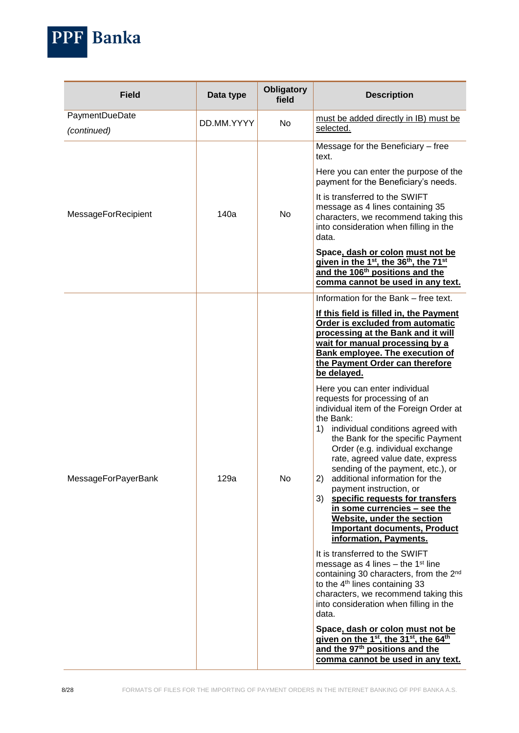

| <b>Field</b>                  | Data type  | <b>Obligatory</b><br>field | <b>Description</b>                                                                                                                                                                                                                                                                                                                                                                                                                                                                          |
|-------------------------------|------------|----------------------------|---------------------------------------------------------------------------------------------------------------------------------------------------------------------------------------------------------------------------------------------------------------------------------------------------------------------------------------------------------------------------------------------------------------------------------------------------------------------------------------------|
| PaymentDueDate<br>(continued) | DD.MM.YYYY | No.                        | must be added directly in IB) must be<br>selected.                                                                                                                                                                                                                                                                                                                                                                                                                                          |
|                               |            |                            | Message for the Beneficiary - free<br>text.                                                                                                                                                                                                                                                                                                                                                                                                                                                 |
|                               |            |                            | Here you can enter the purpose of the<br>payment for the Beneficiary's needs.                                                                                                                                                                                                                                                                                                                                                                                                               |
| MessageForRecipient           | 140a       | No                         | It is transferred to the SWIFT<br>message as 4 lines containing 35<br>characters, we recommend taking this<br>into consideration when filling in the<br>data.                                                                                                                                                                                                                                                                                                                               |
|                               |            |                            | Space, dash or colon must not be<br>given in the 1 <sup>st</sup> , the 36 <sup>th</sup> , the 71 <sup>st</sup><br>and the 106 <sup>th</sup> positions and the<br>comma cannot be used in any text.                                                                                                                                                                                                                                                                                          |
|                               |            |                            | Information for the Bank – free text.                                                                                                                                                                                                                                                                                                                                                                                                                                                       |
|                               | 129a       |                            | If this field is filled in, the Payment<br>Order is excluded from automatic<br>processing at the Bank and it will<br>wait for manual processing by a<br><b>Bank employee. The execution of</b><br>the Payment Order can therefore<br>be delayed.<br>Here you can enter individual<br>requests for processing of an                                                                                                                                                                          |
| MessageForPayerBank           |            | No                         | individual item of the Foreign Order at<br>the Bank:<br>individual conditions agreed with<br>1)<br>the Bank for the specific Payment<br>Order (e.g. individual exchange<br>rate, agreed value date, express<br>sending of the payment, etc.), or<br>additional information for the<br>2)<br>payment instruction, or<br>specific requests for transfers<br>3)<br>in some currencies - see the<br>Website, under the section<br><b>Important documents, Product</b><br>information, Payments. |
|                               |            |                            | It is transferred to the SWIFT<br>message as 4 lines $-$ the 1 <sup>st</sup> line<br>containing 30 characters, from the 2 <sup>nd</sup><br>to the 4 <sup>th</sup> lines containing 33<br>characters, we recommend taking this<br>into consideration when filling in the<br>data.<br>Space, dash or colon must not be<br>given on the 1 <sup>st</sup> , the 31 <sup>st</sup> , the 64 <sup>th</sup><br>and the 97 <sup>th</sup> positions and the<br>comma cannot be used in any text.       |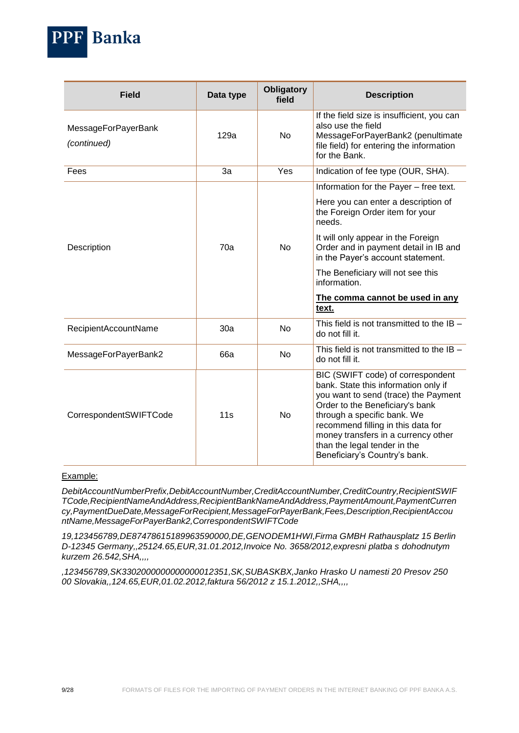

| <b>Field</b>                              | Data type | <b>Obligatory</b><br>field | <b>Description</b>                                                                                                                                                                                                                                                                                                                              |
|-------------------------------------------|-----------|----------------------------|-------------------------------------------------------------------------------------------------------------------------------------------------------------------------------------------------------------------------------------------------------------------------------------------------------------------------------------------------|
| <b>MessageForPayerBank</b><br>(continued) | 129a      | <b>No</b>                  | If the field size is insufficient, you can<br>also use the field<br>MessageForPayerBank2 (penultimate<br>file field) for entering the information<br>for the Bank.                                                                                                                                                                              |
| Fees                                      | За        | Yes                        | Indication of fee type (OUR, SHA).                                                                                                                                                                                                                                                                                                              |
| Description                               | 70a       | <b>No</b>                  | Information for the Payer - free text.<br>Here you can enter a description of<br>the Foreign Order item for your<br>needs.<br>It will only appear in the Foreign<br>Order and in payment detail in IB and<br>in the Payer's account statement.<br>The Beneficiary will not see this<br>information.<br>The comma cannot be used in any<br>text. |
| RecipientAccountName                      | 30a       | <b>No</b>                  | This field is not transmitted to the $IB -$<br>do not fill it.                                                                                                                                                                                                                                                                                  |
| MessageForPayerBank2                      | 66a       | <b>No</b>                  | This field is not transmitted to the $IB -$<br>do not fill it.                                                                                                                                                                                                                                                                                  |
| CorrespondentSWIFTCode                    | 11s       | No                         | BIC (SWIFT code) of correspondent<br>bank. State this information only if<br>you want to send (trace) the Payment<br>Order to the Beneficiary's bank<br>through a specific bank. We<br>recommend filling in this data for<br>money transfers in a currency other<br>than the legal tender in the<br>Beneficiary's Country's bank.               |

#### Example:

*DebitAccountNumberPrefix,DebitAccountNumber,CreditAccountNumber,CreditCountry,RecipientSWIF TCode,RecipientNameAndAddress,RecipientBankNameAndAddress,PaymentAmount,PaymentCurren cy,PaymentDueDate,MessageForRecipient,MessageForPayerBank,Fees,Description,RecipientAccou ntName,MessageForPayerBank2,CorrespondentSWIFTCode*

*19,123456789,DE87478615189963590000,DE,GENODEM1HWI,Firma GMBH Rathausplatz 15 Berlin D-12345 Germany,,25124.65,EUR,31.01.2012,Invoice No. 3658/2012,expresni platba s dohodnutym kurzem 26.542,SHA,,,,*

*,123456789,SK3302000000000000012351,SK,SUBASKBX,Janko Hrasko U namesti 20 Presov 250 00 Slovakia,,124.65,EUR,01.02.2012,faktura 56/2012 z 15.1.2012,,SHA,,,,*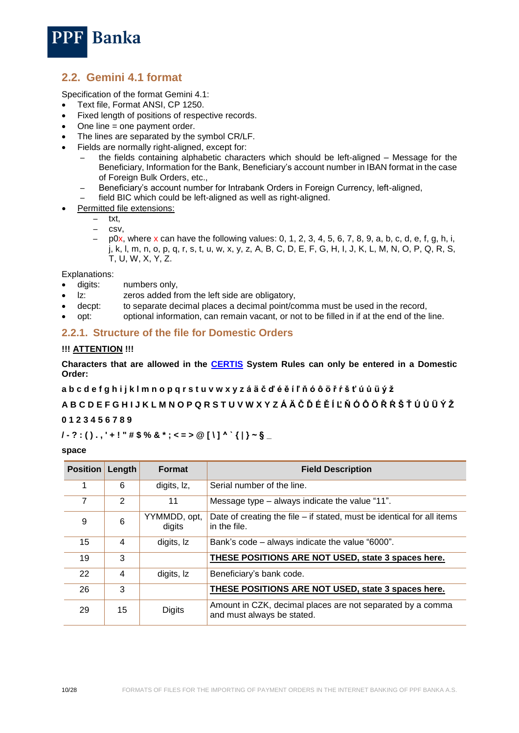

## <span id="page-9-0"></span>**2.2. Gemini 4.1 format**

Specification of the format Gemini 4.1:

- Text file, Format ANSI, CP 1250.
- Fixed length of positions of respective records.
- One line = one payment order.
- The lines are separated by the symbol CR/LF.
- Fields are normally right-aligned, except for:
	- the fields containing alphabetic characters which should be left-aligned Message for the Beneficiary, Information for the Bank, Beneficiary's account number in IBAN format in the case of Foreign Bulk Orders, etc.,
	- Beneficiary's account number for Intrabank Orders in Foreign Currency, left-aligned, – field BIC which could be left-aligned as well as right-aligned.
- Permitted file extensions:
	- txt,
	- csv,
	- p0x, where x can have the following values: 0, 1, 2, 3, 4, 5, 6, 7, 8, 9, a, b, c, d, e, f, g, h, i, j, k, l, m, n, o, p, q, r, s, t, u, w, x, y, z, A, B, C, D, E, F, G, H, I, J, K, L, M, N, O, P, Q, R, S, T, U, W, X, Y, Z.

Explanations:

- digits: numbers only,
- lz: zeros added from the left side are obligatory,
- decpt: to separate decimal places a decimal point/comma must be used in the record,
- opt: optional information, can remain vacant, or not to be filled in if at the end of the line.

#### <span id="page-9-1"></span>**2.2.1. Structure of the file for Domestic Orders**

#### **!!! ATTENTION !!!**

**Characters that are allowed in the [CERTIS](http://www.cnb.cz/cs/platebni_styk/certis/index.html) System Rules can only be entered in a Domestic Order:**

**a b c d e f g h i j k l m n o p q r s t u v w x y z á ä č ď é ě í ľ ň ó ô ö ř ŕ š ť ú ů ü ý ž**

**A B C D E F G H I J K L M N O P Q R S T U V W X Y Z Á Ä Č Ď É Ě Í Ľ Ň Ó Ô Ö Ř Ŕ Š Ť Ú Ů Ü Ý Ž**

#### **0 1 2 3 4 5 6 7 8 9**

#### **/ - ? : ( ) . , ' + ! " # \$ % & \* ; < = > @ [ \ ] ^ ` { | } ~ § \_**

#### **space**

| <b>Position</b> | Length | <b>Format</b>          | <b>Field Description</b>                                                                 |
|-----------------|--------|------------------------|------------------------------------------------------------------------------------------|
|                 | 6      | digits, Iz,            | Serial number of the line.                                                               |
|                 | 2      | 11                     | Message type – always indicate the value "11".                                           |
| 9               | 6      | YYMMDD, opt,<br>digits | Date of creating the file $-$ if stated, must be identical for all items<br>in the file. |
| 15              | 4      | digits, Iz             | Bank's code – always indicate the value "6000".                                          |
| 19              | 3      |                        | THESE POSITIONS ARE NOT USED, state 3 spaces here.                                       |
| 22              | 4      | digits, Iz             | Beneficiary's bank code.                                                                 |
| 26              | 3      |                        | THESE POSITIONS ARE NOT USED, state 3 spaces here.                                       |
| 29              | 15     | <b>Digits</b>          | Amount in CZK, decimal places are not separated by a comma<br>and must always be stated. |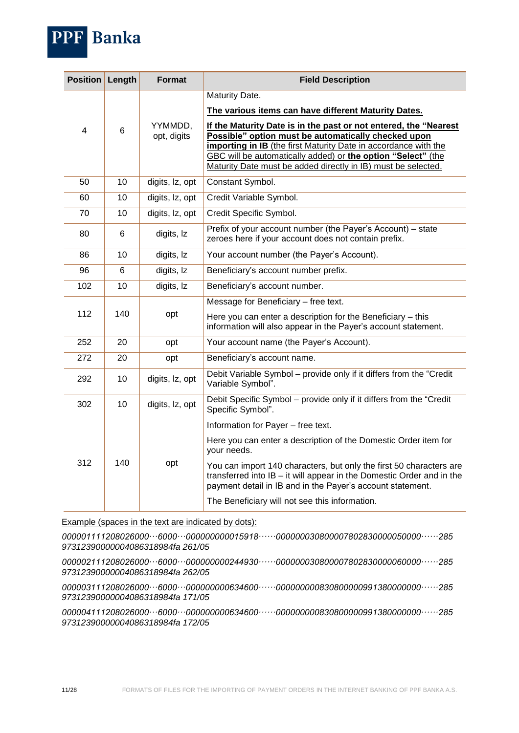| <b>Position</b> | Length     | <b>Format</b>                                                                                                                                                                                              | <b>Field Description</b>                                                                                                                                                                                                                                                                                                    |
|-----------------|------------|------------------------------------------------------------------------------------------------------------------------------------------------------------------------------------------------------------|-----------------------------------------------------------------------------------------------------------------------------------------------------------------------------------------------------------------------------------------------------------------------------------------------------------------------------|
|                 |            |                                                                                                                                                                                                            | Maturity Date.                                                                                                                                                                                                                                                                                                              |
|                 |            |                                                                                                                                                                                                            | The various items can have different Maturity Dates.                                                                                                                                                                                                                                                                        |
| 4               | 6          | YYMMDD,<br>opt, digits                                                                                                                                                                                     | If the Maturity Date is in the past or not entered, the "Nearest<br>Possible" option must be automatically checked upon<br>importing in IB (the first Maturity Date in accordance with the<br>GBC will be automatically added) or the option "Select" (the<br>Maturity Date must be added directly in IB) must be selected. |
| 50              | 10         | digits, lz, opt                                                                                                                                                                                            | Constant Symbol.                                                                                                                                                                                                                                                                                                            |
| 60              | 10         | digits, lz, opt                                                                                                                                                                                            | Credit Variable Symbol.                                                                                                                                                                                                                                                                                                     |
| 70              | 10         | digits, Iz, opt                                                                                                                                                                                            | Credit Specific Symbol.                                                                                                                                                                                                                                                                                                     |
| 80              | 6          | digits, Iz                                                                                                                                                                                                 | Prefix of your account number (the Payer's Account) - state<br>zeroes here if your account does not contain prefix.                                                                                                                                                                                                         |
| 86              | 10         | digits, Iz                                                                                                                                                                                                 | Your account number (the Payer's Account).                                                                                                                                                                                                                                                                                  |
| 96              | 6          | digits, Iz                                                                                                                                                                                                 | Beneficiary's account number prefix.                                                                                                                                                                                                                                                                                        |
| 102             | 10         | digits, Iz                                                                                                                                                                                                 | Beneficiary's account number.                                                                                                                                                                                                                                                                                               |
| 112             | 140        | opt                                                                                                                                                                                                        | Message for Beneficiary - free text.<br>Here you can enter a description for the Beneficiary - this<br>information will also appear in the Payer's account statement.                                                                                                                                                       |
| 252             | 20         | opt                                                                                                                                                                                                        | Your account name (the Payer's Account).                                                                                                                                                                                                                                                                                    |
| 272             | 20         | opt                                                                                                                                                                                                        | Beneficiary's account name.                                                                                                                                                                                                                                                                                                 |
| 292             | 10         | digits, lz, opt                                                                                                                                                                                            | Debit Variable Symbol - provide only if it differs from the "Credit<br>Variable Symbol".                                                                                                                                                                                                                                    |
| 302             | 10         | digits, lz, opt                                                                                                                                                                                            | Debit Specific Symbol - provide only if it differs from the "Credit"<br>Specific Symbol".                                                                                                                                                                                                                                   |
|                 |            |                                                                                                                                                                                                            | Information for Payer - free text.                                                                                                                                                                                                                                                                                          |
|                 | 140<br>opt |                                                                                                                                                                                                            | Here you can enter a description of the Domestic Order item for<br>your needs.                                                                                                                                                                                                                                              |
| 312             |            | You can import 140 characters, but only the first 50 characters are<br>transferred into IB - it will appear in the Domestic Order and in the<br>payment detail in IB and in the Payer's account statement. |                                                                                                                                                                                                                                                                                                                             |
|                 |            |                                                                                                                                                                                                            | The Beneficiary will not see this information.                                                                                                                                                                                                                                                                              |

Example (spaces in the text are indicated by dots):

*000001111208026000···6000···000000000015918······000000030800007802830000050000······285 97312390000004086318984fa 261/05*

*000002111208026000···6000···000000000244930······000000030800007802830000060000······285 97312390000004086318984fa 262/05*

*000003111208026000···6000···000000000634600······000000000830800000991380000000······285 97312390000004086318984fa 171/05*

*000004111208026000···6000···000000000634600······000000000830800000991380000000······285 97312390000004086318984fa 172/05* 

**PPF** Banka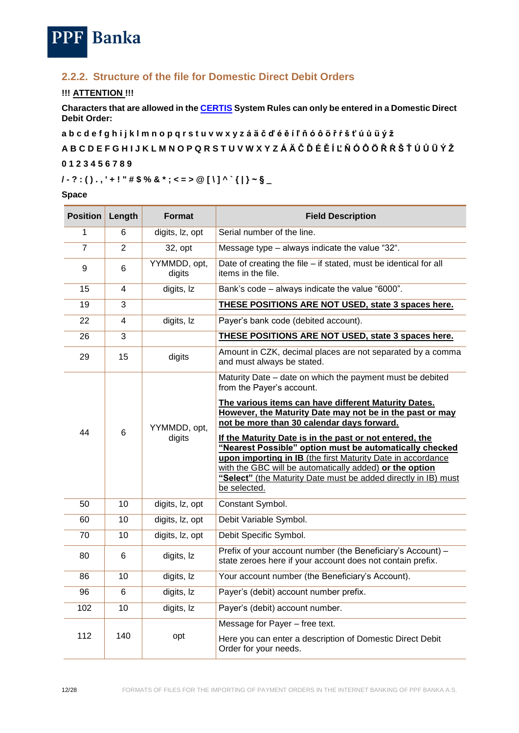

## <span id="page-11-0"></span>**2.2.2. Structure of the file for Domestic Direct Debit Orders**

#### **!!! ATTENTION !!!**

**Characters that are allowed in the [CERTIS](http://www.cnb.cz/cs/platebni_styk/certis/index.html) System Rules can only be entered in a Domestic Direct Debit Order:**

**a b c d e f g h i j k l m n o p q r s t u v w x y z á ä č ď é ě í ľ ň ó ô ö ř ŕ š ť ú ů ü ý ž**

**A B C D E F G H I J K L M N O P Q R S T U V W X Y Z Á Ä Č Ď É Ě Í Ľ Ň Ó Ô Ö Ř Ŕ Š Ť Ú Ů Ü Ý Ž**

#### **0 1 2 3 4 5 6 7 8 9**

## **/ - ? : ( ) . , ' + ! " # \$ % & \* ; < = > @ [ \ ] ^ ` { | } ~ § \_**

#### **Space**

| <b>Position</b> | Length         | Format                 | <b>Field Description</b>                                                                                                                                                                                                                                                                                                       |
|-----------------|----------------|------------------------|--------------------------------------------------------------------------------------------------------------------------------------------------------------------------------------------------------------------------------------------------------------------------------------------------------------------------------|
| 1               | 6              | digits, Iz, opt        | Serial number of the line.                                                                                                                                                                                                                                                                                                     |
| 7               | $\overline{2}$ | 32, opt                | Message type - always indicate the value "32".                                                                                                                                                                                                                                                                                 |
| 9               | $6\phantom{1}$ | YYMMDD, opt,<br>digits | Date of creating the file - if stated, must be identical for all<br>items in the file.                                                                                                                                                                                                                                         |
| 15              | 4              | digits, Iz             | Bank's code - always indicate the value "6000".                                                                                                                                                                                                                                                                                |
| 19              | 3              |                        | THESE POSITIONS ARE NOT USED, state 3 spaces here.                                                                                                                                                                                                                                                                             |
| 22              | $\overline{4}$ | digits, Iz             | Payer's bank code (debited account).                                                                                                                                                                                                                                                                                           |
| 26              | 3              |                        | THESE POSITIONS ARE NOT USED, state 3 spaces here.                                                                                                                                                                                                                                                                             |
| 29              | 15             | digits                 | Amount in CZK, decimal places are not separated by a comma<br>and must always be stated.                                                                                                                                                                                                                                       |
|                 |                |                        | Maturity Date - date on which the payment must be debited<br>from the Payer's account.                                                                                                                                                                                                                                         |
| 44              |                | YYMMDD, opt,           | The various items can have different Maturity Dates.<br>However, the Maturity Date may not be in the past or may<br>not be more than 30 calendar days forward.                                                                                                                                                                 |
|                 | 6              | digits                 | If the Maturity Date is in the past or not entered, the<br>"Nearest Possible" option must be automatically checked<br>upon importing in IB (the first Maturity Date in accordance<br>with the GBC will be automatically added) or the option<br>"Select" (the Maturity Date must be added directly in IB) must<br>be selected. |
| 50              | 10             | digits, lz, opt        | Constant Symbol.                                                                                                                                                                                                                                                                                                               |
| 60              | 10             | digits, Iz, opt        | Debit Variable Symbol.                                                                                                                                                                                                                                                                                                         |
| 70              | 10             | digits, Iz, opt        | Debit Specific Symbol.                                                                                                                                                                                                                                                                                                         |
| 80              | 6              | digits, Iz             | Prefix of your account number (the Beneficiary's Account) -<br>state zeroes here if your account does not contain prefix.                                                                                                                                                                                                      |
| 86              | 10             | digits, Iz             | Your account number (the Beneficiary's Account).                                                                                                                                                                                                                                                                               |
| 96              | 6              | digits, Iz             | Payer's (debit) account number prefix.                                                                                                                                                                                                                                                                                         |
| 102             | 10             | digits, Iz             | Payer's (debit) account number.                                                                                                                                                                                                                                                                                                |
| 112             | 140            | opt                    | Message for Payer - free text.<br>Here you can enter a description of Domestic Direct Debit<br>Order for your needs.                                                                                                                                                                                                           |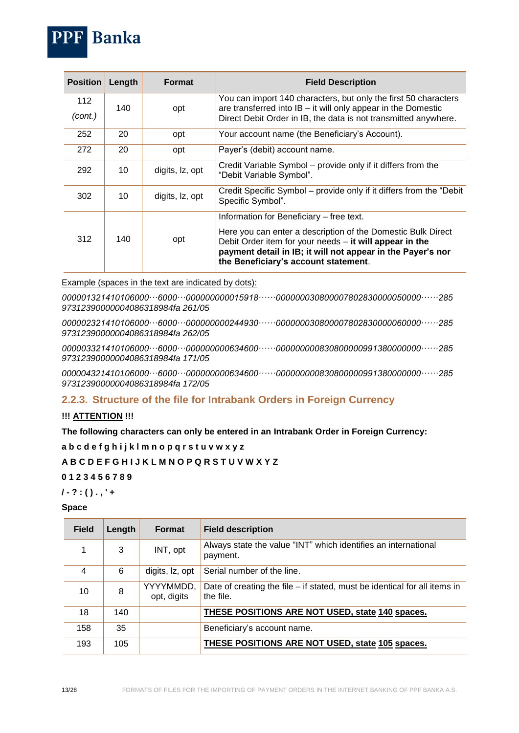

| <b>Position</b> | Length | <b>Format</b>   | <b>Field Description</b>                                                                                                                                                                                                                                                     |
|-----------------|--------|-----------------|------------------------------------------------------------------------------------------------------------------------------------------------------------------------------------------------------------------------------------------------------------------------------|
| 112<br>(cont.)  | 140    | opt             | You can import 140 characters, but only the first 50 characters<br>are transferred into $IB - it$ will only appear in the Domestic<br>Direct Debit Order in IB, the data is not transmitted anywhere.                                                                        |
| 252             | 20     | opt             | Your account name (the Beneficiary's Account).                                                                                                                                                                                                                               |
| 272             | 20     | opt             | Payer's (debit) account name.                                                                                                                                                                                                                                                |
| 292             | 10     | digits, Iz, opt | Credit Variable Symbol - provide only if it differs from the<br>"Debit Variable Symbol".                                                                                                                                                                                     |
| 302             | 10     | digits, Iz, opt | Credit Specific Symbol - provide only if it differs from the "Debit<br>Specific Symbol".                                                                                                                                                                                     |
| 312             | 140    | opt             | Information for Beneficiary – free text.<br>Here you can enter a description of the Domestic Bulk Direct<br>Debit Order item for your needs $-$ it will appear in the<br>payment detail in IB; it will not appear in the Payer's nor<br>the Beneficiary's account statement. |

Example (spaces in the text are indicated by dots):

*000001321410106000···6000···000000000015918······000000030800007802830000050000······285 97312390000004086318984fa 261/05*

*000002321410106000···6000···000000000244930······000000030800007802830000060000······285 97312390000004086318984fa 262/05*

*000003321410106000···6000···000000000634600······000000000830800000991380000000······285 97312390000004086318984fa 171/05*

*000004321410106000···6000···000000000634600······000000000830800000991380000000······285 97312390000004086318984fa 172/05* 

### <span id="page-12-0"></span>**2.2.3. Structure of the file for Intrabank Orders in Foreign Currency**

#### **!!! ATTENTION !!!**

#### **The following characters can only be entered in an Intrabank Order in Foreign Currency:**

**a b c d e f g h i j k l m n o p q r s t u v w x y z**

**A B C D E F G H I J K L M N O P Q R S T U V W X Y Z**

#### **0 1 2 3 4 5 6 7 8 9**

**/ - ? : ( ) . , ' +**

#### **Space**

| <b>Field</b> | Length | <b>Format</b>            | <b>Field description</b>                                                                 |
|--------------|--------|--------------------------|------------------------------------------------------------------------------------------|
|              | 3      | INT, opt                 | Always state the value "INT" which identifies an international<br>payment.               |
| 4            | 6      | digits, Iz, opt          | Serial number of the line.                                                               |
| 10           | 8      | YYYYMMDD,<br>opt, digits | Date of creating the file $-$ if stated, must be identical for all items in<br>the file. |
| 18           | 140    |                          | THESE POSITIONS ARE NOT USED, state 140 spaces.                                          |
| 158          | 35     |                          | Beneficiary's account name.                                                              |
| 193          | 105    |                          | THESE POSITIONS ARE NOT USED, state 105 spaces.                                          |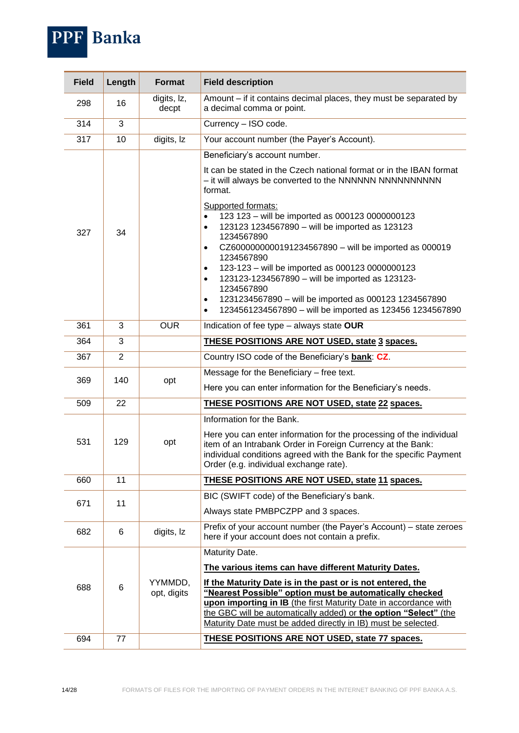

| <b>Field</b> | Length         | Format                 | <b>Field description</b>                                                                                                                                                                                                                                                                                                       |
|--------------|----------------|------------------------|--------------------------------------------------------------------------------------------------------------------------------------------------------------------------------------------------------------------------------------------------------------------------------------------------------------------------------|
| 298          | 16             | digits, Iz,<br>decpt   | Amount – if it contains decimal places, they must be separated by<br>a decimal comma or point.                                                                                                                                                                                                                                 |
| 314          | 3              |                        | Currency - ISO code.                                                                                                                                                                                                                                                                                                           |
| 317          | 10             | digits, Iz             | Your account number (the Payer's Account).                                                                                                                                                                                                                                                                                     |
|              |                |                        | Beneficiary's account number.                                                                                                                                                                                                                                                                                                  |
|              |                |                        | It can be stated in the Czech national format or in the IBAN format<br>- it will always be converted to the NNNNNNN NNNNNNNNNNN<br>format.<br>Supported formats:                                                                                                                                                               |
| 327          | 34             |                        | 123 123 - will be imported as 000123 0000000123<br>$\bullet$<br>123123 1234567890 - will be imported as 123123<br>$\bullet$                                                                                                                                                                                                    |
|              |                |                        | 1234567890<br>CZ6000000000191234567890 - will be imported as 000019<br>$\bullet$                                                                                                                                                                                                                                               |
|              |                |                        | 1234567890                                                                                                                                                                                                                                                                                                                     |
|              |                |                        | 123-123 - will be imported as 000123 0000000123<br>$\bullet$                                                                                                                                                                                                                                                                   |
|              |                |                        | 123123-1234567890 - will be imported as 123123-<br>$\bullet$<br>1234567890                                                                                                                                                                                                                                                     |
|              |                |                        | 1231234567890 - will be imported as 000123 1234567890<br>$\bullet$                                                                                                                                                                                                                                                             |
|              |                |                        | 1234561234567890 - will be imported as 123456 1234567890<br>$\bullet$                                                                                                                                                                                                                                                          |
| 361          | 3              | <b>OUR</b>             | Indication of fee type - always state OUR                                                                                                                                                                                                                                                                                      |
| 364          | 3              |                        | <b>THESE POSITIONS ARE NOT USED, state 3 spaces.</b>                                                                                                                                                                                                                                                                           |
| 367          | $\overline{2}$ |                        | Country ISO code of the Beneficiary's bank: CZ.                                                                                                                                                                                                                                                                                |
| 369          | 140            | opt                    | Message for the Beneficiary - free text.                                                                                                                                                                                                                                                                                       |
|              |                |                        | Here you can enter information for the Beneficiary's needs.                                                                                                                                                                                                                                                                    |
| 509          | 22             |                        | <b>THESE POSITIONS ARE NOT USED, state 22 spaces.</b>                                                                                                                                                                                                                                                                          |
|              |                |                        | Information for the Bank.                                                                                                                                                                                                                                                                                                      |
| 531          | 129            | opt                    | Here you can enter information for the processing of the individual<br>item of an Intrabank Order in Foreign Currency at the Bank:<br>individual conditions agreed with the Bank for the specific Payment<br>Order (e.g. individual exchange rate).                                                                            |
| 660          | 11             |                        | THESE POSITIONS ARE NOT USED, state 11 spaces.                                                                                                                                                                                                                                                                                 |
| 671          | 11             |                        | BIC (SWIFT code) of the Beneficiary's bank.                                                                                                                                                                                                                                                                                    |
|              |                |                        | Always state PMBPCZPP and 3 spaces.                                                                                                                                                                                                                                                                                            |
| 682          | 6              | digits, Iz             | Prefix of your account number (the Payer's Account) – state zeroes<br>here if your account does not contain a prefix.                                                                                                                                                                                                          |
|              |                |                        | Maturity Date.                                                                                                                                                                                                                                                                                                                 |
|              |                |                        | The various items can have different Maturity Dates.                                                                                                                                                                                                                                                                           |
| 688          | 6              | YYMMDD,<br>opt, digits | If the Maturity Date is in the past or is not entered, the<br>"Nearest Possible" option must be automatically checked<br>upon importing in IB (the first Maturity Date in accordance with<br>the GBC will be automatically added) or the option "Select" (the<br>Maturity Date must be added directly in IB) must be selected. |
| 694          | 77             |                        | <b>THESE POSITIONS ARE NOT USED, state 77 spaces.</b>                                                                                                                                                                                                                                                                          |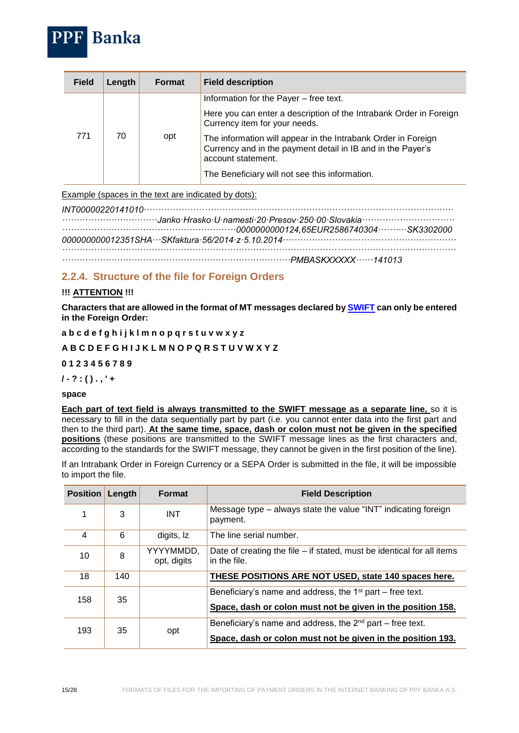

| <b>Field</b> | Length | <b>Format</b> | <b>Field description</b>                                                                                                                                                                                                                                                                                                                              |
|--------------|--------|---------------|-------------------------------------------------------------------------------------------------------------------------------------------------------------------------------------------------------------------------------------------------------------------------------------------------------------------------------------------------------|
| 771          | 70     | opt           | Information for the Payer - free text.<br>Here you can enter a description of the Intrabank Order in Foreign<br>Currency item for your needs.<br>The information will appear in the Intrabank Order in Foreign<br>Currency and in the payment detail in IB and in the Payer's<br>account statement.<br>The Beneficiary will not see this information. |

Example (spaces in the text are indicated by dots):

*INT00000220141010··········································································································· ·································Janko·Hrasko·U·namesti·20·Presov·250·00·Slovakia································ ····························································0000000000124,65EUR2586740304··········SK3302000 000000000012351SHA···SKfaktura·56/2014·z·5.10.2014···························································· ········································································································································ ···············································································PMBASKXXXXX······141013*

## <span id="page-14-0"></span>**2.2.4. Structure of the file for Foreign Orders**

#### **!!! ATTENTION !!!**

**Characters that are allowed in the format of MT messages declared by [SWIFT](http://www.swift.com/) can only be entered in the Foreign Order:**

**a b c d e f g h i j k l m n o p q r s t u v w x y z**

#### **A B C D E F G H I J K L M N O P Q R S T U V W X Y Z**

**0 1 2 3 4 5 6 7 8 9**

**/ - ? : ( ) . , ' +**

#### **space**

**Each part of text field is always transmitted to the SWIFT message as a separate line,** so it is necessary to fill in the data sequentially part by part (i.e. you cannot enter data into the first part and then to the third part). **At the same time, space, dash or colon must not be given in the specified positions** (these positions are transmitted to the SWIFT message lines as the first characters and, according to the standards for the SWIFT message, they cannot be given in the first position of the line).

If an Intrabank Order in Foreign Currency or a SEPA Order is submitted in the file, it will be impossible to import the file.

| <b>Position</b> | Length | <b>Format</b>            | <b>Field Description</b>                                                                                                      |
|-----------------|--------|--------------------------|-------------------------------------------------------------------------------------------------------------------------------|
| 1               | 3      | <b>INT</b>               | Message type – always state the value "INT" indicating foreign<br>payment.                                                    |
| 4               | 6      | digits, Iz               | The line serial number.                                                                                                       |
| 10              | 8      | YYYYMMDD,<br>opt, digits | Date of creating the file $-$ if stated, must be identical for all items<br>in the file.                                      |
| 18              | 140    |                          | THESE POSITIONS ARE NOT USED, state 140 spaces here.                                                                          |
| 158             | 35     |                          | Beneficiary's name and address, the $1st$ part – free text.<br>Space, dash or colon must not be given in the position 158.    |
| 193             | 35     | opt                      | Beneficiary's name and address, the $2^{nd}$ part – free text.<br>Space, dash or colon must not be given in the position 193. |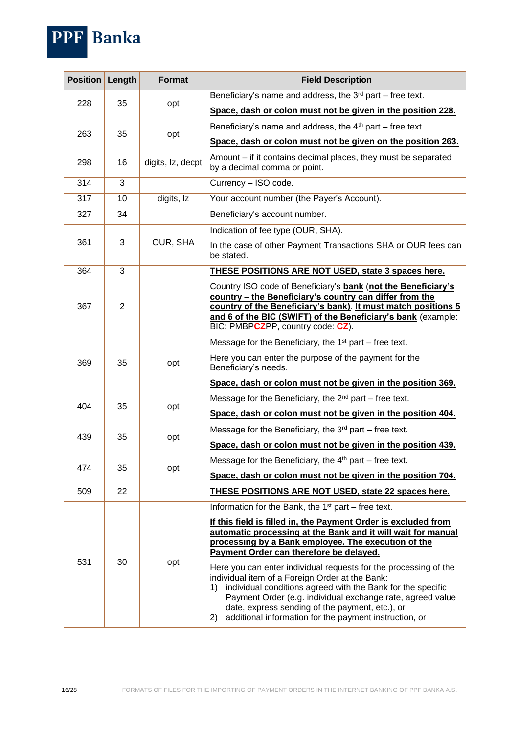| Position | Length         | <b>Format</b>     | <b>Field Description</b>                                                                                                                                                                                                                                                                              |
|----------|----------------|-------------------|-------------------------------------------------------------------------------------------------------------------------------------------------------------------------------------------------------------------------------------------------------------------------------------------------------|
|          |                |                   | Beneficiary's name and address, the $3rd$ part – free text.                                                                                                                                                                                                                                           |
| 228      | 35             | opt               | Space, dash or colon must not be given in the position 228.                                                                                                                                                                                                                                           |
|          | 35             |                   | Beneficiary's name and address, the $4th$ part – free text.                                                                                                                                                                                                                                           |
| 263      |                | opt               | Space, dash or colon must not be given on the position 263.                                                                                                                                                                                                                                           |
| 298      | 16             | digits, Iz, decpt | Amount - if it contains decimal places, they must be separated<br>by a decimal comma or point.                                                                                                                                                                                                        |
| 314      | 3              |                   | Currency - ISO code.                                                                                                                                                                                                                                                                                  |
| 317      | 10             | digits, Iz        | Your account number (the Payer's Account).                                                                                                                                                                                                                                                            |
| 327      | 34             |                   | Beneficiary's account number.                                                                                                                                                                                                                                                                         |
|          |                |                   | Indication of fee type (OUR, SHA).                                                                                                                                                                                                                                                                    |
| 361      | 3              | OUR, SHA          | In the case of other Payment Transactions SHA or OUR fees can<br>be stated.                                                                                                                                                                                                                           |
| 364      | 3              |                   | THESE POSITIONS ARE NOT USED, state 3 spaces here.                                                                                                                                                                                                                                                    |
| 367      | $\overline{2}$ |                   | Country ISO code of Beneficiary's bank (not the Beneficiary's<br>country - the Beneficiary's country can differ from the<br>country of the Beneficiary's bank). It must match positions 5<br>and 6 of the BIC (SWIFT) of the Beneficiary's bank (example:<br>BIC: PMBPCZPP, country code: CZ).        |
|          |                |                   | Message for the Beneficiary, the $1st$ part – free text.                                                                                                                                                                                                                                              |
| 369      | 35             | opt               | Here you can enter the purpose of the payment for the<br>Beneficiary's needs.                                                                                                                                                                                                                         |
|          |                |                   | Space, dash or colon must not be given in the position 369.                                                                                                                                                                                                                                           |
|          | 35             | opt               | Message for the Beneficiary, the $2nd$ part – free text.                                                                                                                                                                                                                                              |
| 404      |                |                   | Space, dash or colon must not be given in the position 404.                                                                                                                                                                                                                                           |
| 439      | 35             | opt               | Message for the Beneficiary, the $3rd$ part – free text.                                                                                                                                                                                                                                              |
|          |                |                   | Space, dash or colon must not be given in the position 439.                                                                                                                                                                                                                                           |
| 474      | 35             | opt               | Message for the Beneficiary, the $4th$ part – free text.                                                                                                                                                                                                                                              |
|          |                |                   | Space, dash or colon must not be given in the position 704.                                                                                                                                                                                                                                           |
| 509      | 22             |                   | <b>THESE POSITIONS ARE NOT USED, state 22 spaces here.</b>                                                                                                                                                                                                                                            |
|          |                |                   | Information for the Bank, the $1st$ part – free text.                                                                                                                                                                                                                                                 |
| 531      | 30             | opt               | If this field is filled in, the Payment Order is excluded from<br>automatic processing at the Bank and it will wait for manual<br>processing by a Bank employee. The execution of the<br>Payment Order can therefore be delayed.<br>Here you can enter individual requests for the processing of the  |
|          |                |                   | individual item of a Foreign Order at the Bank:<br>individual conditions agreed with the Bank for the specific<br>1)<br>Payment Order (e.g. individual exchange rate, agreed value<br>date, express sending of the payment, etc.), or<br>additional information for the payment instruction, or<br>2) |

PPF Banka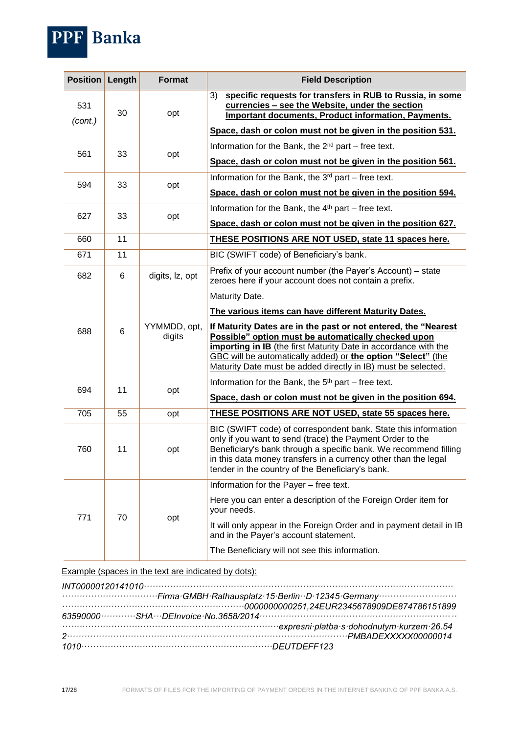

| <b>Position</b> | Length | <b>Format</b>          | <b>Field Description</b>                                                                                                                                                                                                                                                                                                   |
|-----------------|--------|------------------------|----------------------------------------------------------------------------------------------------------------------------------------------------------------------------------------------------------------------------------------------------------------------------------------------------------------------------|
| 531<br>(cont.)  | 30     | opt                    | specific requests for transfers in RUB to Russia, in some<br>3)<br>currencies - see the Website, under the section<br><b>Important documents, Product information, Payments.</b>                                                                                                                                           |
|                 |        |                        | Space, dash or colon must not be given in the position 531.                                                                                                                                                                                                                                                                |
| 561             | 33     | opt                    | Information for the Bank, the 2 <sup>nd</sup> part – free text.                                                                                                                                                                                                                                                            |
|                 |        |                        | Space, dash or colon must not be given in the position 561.                                                                                                                                                                                                                                                                |
| 594             | 33     | opt                    | Information for the Bank, the 3 <sup>rd</sup> part – free text.                                                                                                                                                                                                                                                            |
|                 |        |                        | Space, dash or colon must not be given in the position 594.                                                                                                                                                                                                                                                                |
| 627             | 33     | opt                    | Information for the Bank, the 4 <sup>th</sup> part – free text.                                                                                                                                                                                                                                                            |
|                 |        |                        | Space, dash or colon must not be given in the position 627.                                                                                                                                                                                                                                                                |
| 660             | 11     |                        | THESE POSITIONS ARE NOT USED, state 11 spaces here.                                                                                                                                                                                                                                                                        |
| 671             | 11     |                        | BIC (SWIFT code) of Beneficiary's bank.                                                                                                                                                                                                                                                                                    |
| 682             | 6      | digits, lz, opt        | Prefix of your account number (the Payer's Account) - state<br>zeroes here if your account does not contain a prefix.                                                                                                                                                                                                      |
|                 |        |                        | Maturity Date.                                                                                                                                                                                                                                                                                                             |
|                 |        |                        | The various items can have different Maturity Dates.                                                                                                                                                                                                                                                                       |
| 688             | 6      | YYMMDD, opt,<br>digits | If Maturity Dates are in the past or not entered, the "Nearest"<br>Possible" option must be automatically checked upon<br>importing in IB (the first Maturity Date in accordance with the<br>GBC will be automatically added) or the option "Select" (the<br>Maturity Date must be added directly in IB) must be selected. |
| 694             | 11     | opt                    | Information for the Bank, the 5 <sup>th</sup> part – free text.                                                                                                                                                                                                                                                            |
|                 |        |                        | Space, dash or colon must not be given in the position 694.                                                                                                                                                                                                                                                                |
| 705             | 55     | opt                    | <b>THESE POSITIONS ARE NOT USED, state 55 spaces here.</b>                                                                                                                                                                                                                                                                 |
| 760             | 11     | opt                    | BIC (SWIFT code) of correspondent bank. State this information<br>only if you want to send (trace) the Payment Order to the<br>Beneficiary's bank through a specific bank. We recommend filling<br>in this data money transfers in a currency other than the legal<br>tender in the country of the Beneficiary's bank.     |
|                 |        |                        | Information for the Payer - free text.                                                                                                                                                                                                                                                                                     |
| 771             |        | 70<br>opt              | Here you can enter a description of the Foreign Order item for<br>your needs.                                                                                                                                                                                                                                              |
|                 |        |                        | It will only appear in the Foreign Order and in payment detail in IB<br>and in the Payer's account statement.                                                                                                                                                                                                              |
|                 |        |                        | The Beneficiary will not see this information.                                                                                                                                                                                                                                                                             |

Example (spaces in the text are indicated by dots):

| expresni platba s dohodnutym kurzem 26.54 |
|-------------------------------------------|
|                                           |
|                                           |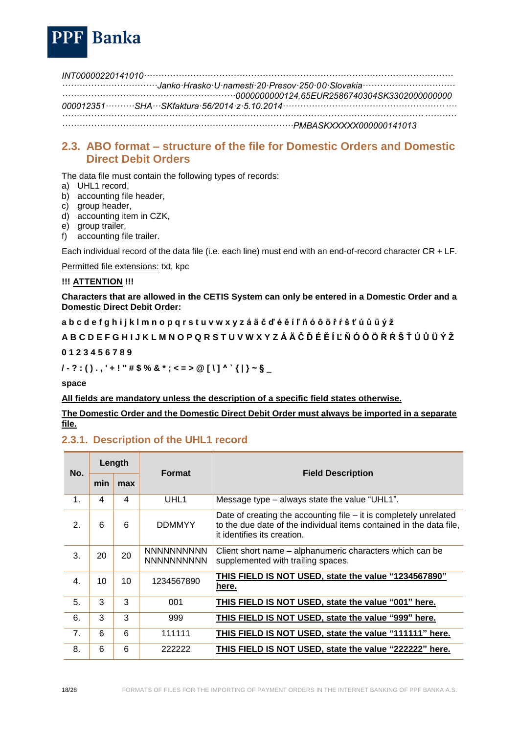

*INT00000220141010··········································································································· ·································Janko·Hrasko·U·namesti·20·Presov·250·00·Slovakia································ ····························································0000000000124,65EUR2586740304SK3302000000000 000012351··········SHA···SKfaktura·56/2014·z·5.10.2014···························································· ········································································································································ ················································································PMBASKXXXXX000000141013*

## <span id="page-17-0"></span>**2.3. ABO format** *–* **structure of the file for Domestic Orders and Domestic Direct Debit Orders**

The data file must contain the following types of records:

- a) UHL1 record,
- b) accounting file header,
- c) group header,
- d) accounting item in CZK,
- e) group trailer,
- f) accounting file trailer.

Each individual record of the data file (i.e. each line) must end with an end-of-record character CR + LF.

Permitted file extensions: txt, kpc

#### **!!! ATTENTION !!!**

**Characters that are allowed in the CETIS System can only be entered in a Domestic Order and a Domestic Direct Debit Order:**

**a b c d e f g h i j k l m n o p q r s t u v w x y z á ä č ď é ě í ľ ň ó ô ö ř ŕ š ť ú ů ü ý ž**

**A B C D E F G H I J K L M N O P Q R S T U V W X Y Z Á Ä Č Ď É Ě Í Ľ Ň Ó Ô Ö Ř Ŕ Š Ť Ú Ů Ü Ý Ž**

#### **0 1 2 3 4 5 6 7 8 9**

**/ - ? : ( ) . , ' + ! " # \$ % & \* ; < = > @ [ \ ] ^ ` { | } ~ § \_**

**space**

**All fields are mandatory unless the description of a specific field states otherwise.** 

**The Domestic Order and the Domestic Direct Debit Order must always be imported in a separate file.**

### <span id="page-17-1"></span>**2.3.1. Description of the UHL1 record**

| No.           | Length |     | <b>Format</b>                          |                                                                                                                                                                           |
|---------------|--------|-----|----------------------------------------|---------------------------------------------------------------------------------------------------------------------------------------------------------------------------|
|               | min    | max |                                        | <b>Field Description</b>                                                                                                                                                  |
| $\mathbf 1$ . | 4      | 4   | UHL <sub>1</sub>                       | Message type – always state the value "UHL1".                                                                                                                             |
| $\mathbf{2}$  | 6      | 6   | <b>DDMMYY</b>                          | Date of creating the accounting file $-$ it is completely unrelated<br>to the due date of the individual items contained in the data file,<br>it identifies its creation. |
| 3.            | 20     | 20  | <b>NNNNNNNNNN</b><br><b>NNNNNNNNNN</b> | Client short name – alphanumeric characters which can be<br>supplemented with trailing spaces.                                                                            |
| 4.            | 10     | 10  | 1234567890                             | THIS FIELD IS NOT USED, state the value "1234567890"<br>here.                                                                                                             |
| 5.            | 3      | 3   | 001                                    | THIS FIELD IS NOT USED, state the value "001" here.                                                                                                                       |
| 6.            | 3      | 3   | 999                                    | THIS FIELD IS NOT USED, state the value "999" here.                                                                                                                       |
| 7.            | 6      | 6   | 111111                                 | THIS FIELD IS NOT USED, state the value "111111" here.                                                                                                                    |
| 8.            | 6      | 6   | 222222                                 | THIS FIELD IS NOT USED, state the value "222222" here.                                                                                                                    |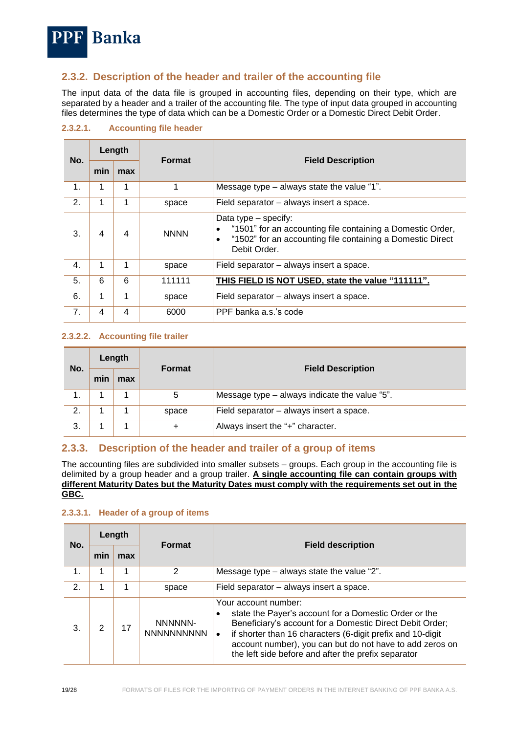

## <span id="page-18-0"></span>**2.3.2. Description of the header and trailer of the accounting file**

The input data of the data file is grouped in accounting files, depending on their type, which are separated by a header and a trailer of the accounting file. The type of input data grouped in accounting files determines the type of data which can be a Domestic Order or a Domestic Direct Debit Order.

| No.            | Length |     | <b>Format</b> |                                                                                                                                                                       |
|----------------|--------|-----|---------------|-----------------------------------------------------------------------------------------------------------------------------------------------------------------------|
|                | min    | max |               | <b>Field Description</b>                                                                                                                                              |
| 1.             | 1      | 1   | 1             | Message type – always state the value "1".                                                                                                                            |
| 2.             | 1      | 1   | space         | Field separator – always insert a space.                                                                                                                              |
| 3.             | 4      | 4   | <b>NNNN</b>   | Data type – specify:<br>"1501" for an accounting file containing a Domestic Order,<br>"1502" for an accounting file containing a Domestic Direct<br>٠<br>Debit Order. |
| 4.             | 1      | 1   | space         | Field separator – always insert a space.                                                                                                                              |
| 5.             | 6      | 6   | 111111        | THIS FIELD IS NOT USED, state the value "111111".                                                                                                                     |
| 6.             | 1      | 1   | space         | Field separator – always insert a space.                                                                                                                              |
| 7 <sub>1</sub> | 4      | 4   | 6000          | PPF banka a.s.'s code                                                                                                                                                 |

<span id="page-18-1"></span>**2.3.2.1. Accounting file header**

#### <span id="page-18-2"></span>**2.3.2.2. Accounting file trailer**

| No. | Length |     | <b>Format</b> | <b>Field Description</b>                      |
|-----|--------|-----|---------------|-----------------------------------------------|
|     | min    | max |               |                                               |
|     |        |     | 5             | Message type - always indicate the value "5". |
| 2.  |        |     | space         | Field separator - always insert a space.      |
| 3.  |        |     | $\ddot{}$     | Always insert the "+" character.              |

### <span id="page-18-3"></span>**2.3.3. Description of the header and trailer of a group of items**

The accounting files are subdivided into smaller subsets – groups. Each group in the accounting file is delimited by a group header and a group trailer. **A single accounting file can contain groups with different Maturity Dates but the Maturity Dates must comply with the requirements set out in the GBC.**

#### <span id="page-18-4"></span>**2.3.3.1. Header of a group of items**

| No. | Length |     |                              |                                                                                                                                                                                                                                                                                                                                         |
|-----|--------|-----|------------------------------|-----------------------------------------------------------------------------------------------------------------------------------------------------------------------------------------------------------------------------------------------------------------------------------------------------------------------------------------|
|     | min    | max | <b>Format</b>                | <b>Field description</b>                                                                                                                                                                                                                                                                                                                |
| 1.  |        |     | $\mathcal{P}$                | Message type $-$ always state the value "2".                                                                                                                                                                                                                                                                                            |
| 2.  |        |     | space                        | Field separator – always insert a space.                                                                                                                                                                                                                                                                                                |
| 3.  | 2      | 17  | NNNNNN-<br><b>NNNNNNNNNN</b> | Your account number:<br>state the Payer's account for a Domestic Order or the<br>Beneficiary's account for a Domestic Direct Debit Order;<br>if shorter than 16 characters (6-digit prefix and 10-digit<br>$\bullet$<br>account number), you can but do not have to add zeros on<br>the left side before and after the prefix separator |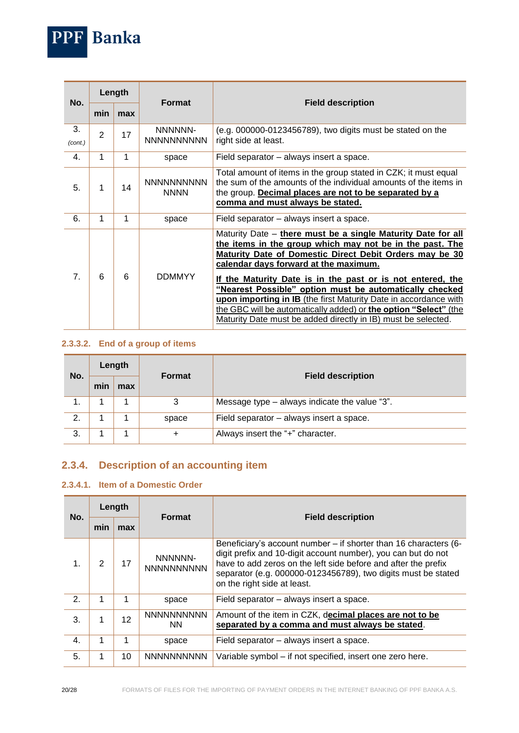

| No.           | Length |     | <b>Format</b>                    | <b>Field description</b>                                                                                                                                                                                                                                                                                                                                                                                                                                                                                                                                       |
|---------------|--------|-----|----------------------------------|----------------------------------------------------------------------------------------------------------------------------------------------------------------------------------------------------------------------------------------------------------------------------------------------------------------------------------------------------------------------------------------------------------------------------------------------------------------------------------------------------------------------------------------------------------------|
|               | min    | max |                                  |                                                                                                                                                                                                                                                                                                                                                                                                                                                                                                                                                                |
| 3.<br>(cont.) | 2      | 17  | NNNNNN-<br><b>NNNNNNNNNN</b>     | (e.g. 000000-0123456789), two digits must be stated on the<br>right side at least.                                                                                                                                                                                                                                                                                                                                                                                                                                                                             |
| 4.            | 1      | 1   | space                            | Field separator - always insert a space.                                                                                                                                                                                                                                                                                                                                                                                                                                                                                                                       |
| 5.            | 1      | 14  | <b>NNNNNNNNNN</b><br><b>NNNN</b> | Total amount of items in the group stated in CZK; it must equal<br>the sum of the amounts of the individual amounts of the items in<br>the group. Decimal places are not to be separated by a<br>comma and must always be stated.                                                                                                                                                                                                                                                                                                                              |
| 6.            | 1      | 1   | space                            | Field separator – always insert a space.                                                                                                                                                                                                                                                                                                                                                                                                                                                                                                                       |
| 7.            | 6      | 6   | <b>DDMMYY</b>                    | Maturity Date - there must be a single Maturity Date for all<br>the items in the group which may not be in the past. The<br>Maturity Date of Domestic Direct Debit Orders may be 30<br>calendar days forward at the maximum.<br>If the Maturity Date is in the past or is not entered, the<br>"Nearest Possible" option must be automatically checked<br>upon importing in IB (the first Maturity Date in accordance with<br>the GBC will be automatically added) or the option "Select" (the<br>Maturity Date must be added directly in IB) must be selected. |

#### <span id="page-19-0"></span>**2.3.3.2. End of a group of items**

| No. | Length |     | <b>Format</b> | <b>Field description</b>                      |
|-----|--------|-----|---------------|-----------------------------------------------|
|     | min    | max |               |                                               |
|     |        |     | 3             | Message type - always indicate the value "3". |
| 2.  |        |     | space         | Field separator - always insert a space.      |
| 3.  |        |     | $\ddot{}$     | Always insert the "+" character.              |

# <span id="page-19-1"></span>**2.3.4. Description of an accounting item**

### <span id="page-19-2"></span>**2.3.4.1. Item of a Domestic Order**

| No.            | Length |     | <b>Format</b>                  | <b>Field description</b>                                                                                                                                                                                                                                                                            |
|----------------|--------|-----|--------------------------------|-----------------------------------------------------------------------------------------------------------------------------------------------------------------------------------------------------------------------------------------------------------------------------------------------------|
|                | min    | max |                                |                                                                                                                                                                                                                                                                                                     |
| $\mathbf{1}$ . | 2      | 17  | NNNNNN-<br><b>NNNNNNNNNN</b>   | Beneficiary's account number – if shorter than 16 characters (6-<br>digit prefix and 10-digit account number), you can but do not<br>have to add zeros on the left side before and after the prefix<br>separator (e.g. 000000-0123456789), two digits must be stated<br>on the right side at least. |
| 2.             | 1      | 1   | space                          | Field separator – always insert a space.                                                                                                                                                                                                                                                            |
| 3.             |        | 12  | <b>NNNNNNNNNN</b><br><b>NN</b> | Amount of the item in CZK, decimal places are not to be<br>separated by a comma and must always be stated.                                                                                                                                                                                          |
| 4.             | 1      |     | space                          | Field separator – always insert a space.                                                                                                                                                                                                                                                            |
| 5.             | 1      | 10  | <b>NNNNNNNNNN</b>              | Variable symbol - if not specified, insert one zero here.                                                                                                                                                                                                                                           |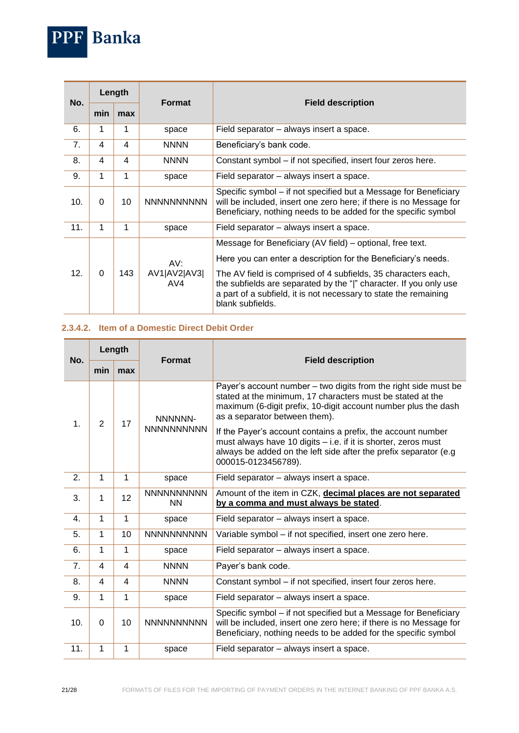

ц.

and and

and the

| No.            | Length   |     |                            |                                                                                                                                                                                                                                                                                                                                                          |
|----------------|----------|-----|----------------------------|----------------------------------------------------------------------------------------------------------------------------------------------------------------------------------------------------------------------------------------------------------------------------------------------------------------------------------------------------------|
|                | min      | max | <b>Format</b>              | <b>Field description</b>                                                                                                                                                                                                                                                                                                                                 |
| 6.             | 1        | 1   | space                      | Field separator – always insert a space.                                                                                                                                                                                                                                                                                                                 |
| 7 <sub>1</sub> | 4        | 4   | <b>NNNN</b>                | Beneficiary's bank code.                                                                                                                                                                                                                                                                                                                                 |
| 8.             | 4        | 4   | <b>NNNN</b>                | Constant symbol – if not specified, insert four zeros here.                                                                                                                                                                                                                                                                                              |
| 9.             | 1        | 1   | space                      | Field separator – always insert a space.                                                                                                                                                                                                                                                                                                                 |
| 10.            | 0        | 10  | <b>NNNNNNNNNN</b>          | Specific symbol - if not specified but a Message for Beneficiary<br>will be included, insert one zero here; if there is no Message for<br>Beneficiary, nothing needs to be added for the specific symbol                                                                                                                                                 |
| 11.            | 1        | 1   | space                      | Field separator – always insert a space.                                                                                                                                                                                                                                                                                                                 |
| 12.            | $\Omega$ | 143 | AV:<br>AV1 AV2 AV3 <br>AV4 | Message for Beneficiary (AV field) – optional, free text.<br>Here you can enter a description for the Beneficiary's needs.<br>The AV field is comprised of 4 subfields, 35 characters each,<br>the subfields are separated by the " " character. If you only use<br>a part of a subfield, it is not necessary to state the remaining<br>blank subfields. |

#### <span id="page-20-0"></span>**2.3.4.2. Item of a Domestic Direct Debit Order**

| No.           | Length         |              |                                |                                                                                                                                                                                                                                  |
|---------------|----------------|--------------|--------------------------------|----------------------------------------------------------------------------------------------------------------------------------------------------------------------------------------------------------------------------------|
|               | min            | max          | <b>Format</b>                  | <b>Field description</b>                                                                                                                                                                                                         |
| $\mathbf 1$ . | $\overline{2}$ | 17           | NNNNNN-<br><b>NNNNNNNNNN</b>   | Payer's account number - two digits from the right side must be<br>stated at the minimum, 17 characters must be stated at the<br>maximum (6-digit prefix, 10-digit account number plus the dash<br>as a separator between them). |
|               |                |              |                                | If the Payer's account contains a prefix, the account number<br>must always have 10 digits - i.e. if it is shorter, zeros must<br>always be added on the left side after the prefix separator (e.g<br>000015-0123456789).        |
| 2.            | 1              | 1            | space                          | Field separator - always insert a space.                                                                                                                                                                                         |
| 3.            | 1              | 12           | <b>NNNNNNNNNN</b><br><b>NN</b> | Amount of the item in CZK, decimal places are not separated<br>by a comma and must always be stated.                                                                                                                             |
| 4.            | $\mathbf{1}$   | 1            | space                          | Field separator - always insert a space.                                                                                                                                                                                         |
| 5.            | 1              | 10           | <b>NNNNNNNNNN</b>              | Variable symbol - if not specified, insert one zero here.                                                                                                                                                                        |
| 6.            | 1              | $\mathbf{1}$ | space                          | Field separator - always insert a space.                                                                                                                                                                                         |
| 7.            | 4              | 4            | <b>NNNN</b>                    | Payer's bank code.                                                                                                                                                                                                               |
| 8.            | 4              | 4            | <b>NNNN</b>                    | Constant symbol - if not specified, insert four zeros here.                                                                                                                                                                      |
| 9.            | 1              | 1            | space                          | Field separator - always insert a space.                                                                                                                                                                                         |
| 10.           | $\Omega$       | 10           | <b>NNNNNNNNNN</b>              | Specific symbol - if not specified but a Message for Beneficiary<br>will be included, insert one zero here; if there is no Message for<br>Beneficiary, nothing needs to be added for the specific symbol                         |
| 11.           | 1              | 1            | space                          | Field separator - always insert a space.                                                                                                                                                                                         |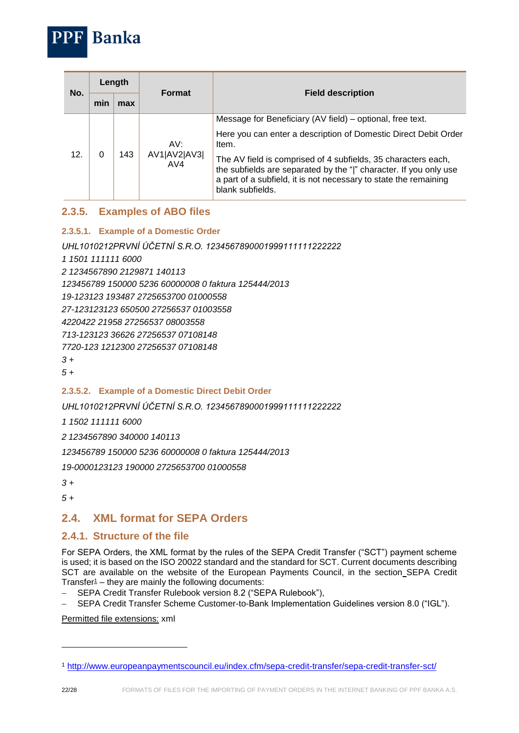

## <span id="page-21-0"></span>**2.3.5. Examples of ABO files**

### <span id="page-21-1"></span>**2.3.5.1. Example of a Domestic Order**

*UHL1010212PRVNÍ ÚČETNÍ S.R.O. 1234567890001999111111222222*

*1 1501 111111 6000*

*2 1234567890 2129871 140113*

**Banka** 

*123456789 150000 5236 60000008 0 faktura 125444/2013*

*19-123123 193487 2725653700 01000558*

*27-123123123 650500 27256537 01003558*

*4220422 21958 27256537 08003558*

*713-123123 36626 27256537 07108148*

*7720-123 1212300 27256537 07108148*

*3 +*

*5 +*

### <span id="page-21-2"></span>**2.3.5.2. Example of a Domestic Direct Debit Order**

*UHL1010212PRVNÍ ÚČETNÍ S.R.O. 1234567890001999111111222222*

*1 1502 111111 6000*

*2 1234567890 340000 140113*

*123456789 150000 5236 60000008 0 faktura 125444/2013*

*19-0000123123 190000 2725653700 01000558*

*3 +*

*5 +*

## <span id="page-21-3"></span>**2.4. XML format for SEPA Orders**

## <span id="page-21-4"></span>**2.4.1. Structure of the file**

For SEPA Orders, the XML format by the rules of the SEPA Credit Transfer ("SCT") payment scheme is used; it is based on the ISO 20022 standard and the standard for SCT. Current documents describing SCT are available on the website of the European Payments Council, in the section SEPA Credit Transfer $1$  – they are mainly the following documents:

- SEPA Credit Transfer Rulebook version 8.2 ("SEPA Rulebook"),
- SEPA Credit Transfer Scheme Customer-to-Bank Implementation Guidelines version 8.0 ("IGL").

Permitted file extensions: xml

1

<sup>1</sup> <http://www.europeanpaymentscouncil.eu/index.cfm/sepa-credit-transfer/sepa-credit-transfer-sct/>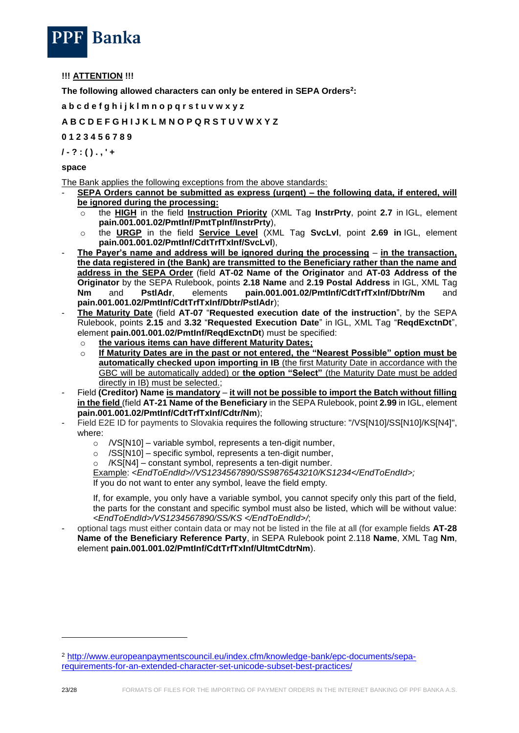

#### **!!! ATTENTION !!!**

**The following allowed characters can only be entered in SEPA Orders<sup>2</sup> :**

**a b c d e f g h i j k l m n o p q r s t u v w x y z**

#### **A B C D E F G H I J K L M N O P Q R S T U V W X Y Z**

#### **0 1 2 3 4 5 6 7 8 9**

**/ - ? : ( ) . , ' +**

#### **space**

The Bank applies the following exceptions from the above standards:

- **SEPA Orders cannot be submitted as express (urgent) – the following data, if entered, will be ignored during the processing:** 
	- o the **HIGH** in the field **Instruction Priority** (XML Tag **InstrPrty**, point **2.7** in IGL, element **pain.001.001.02/PmtInf/PmtTpInf/InstrPrty**),
	- o the **URGP** in the field **Service Level** (XML Tag **SvcLvl**, point **2.69 in** IGL, element **pain.001.001.02/PmtInf/CdtTrfTxInf/SvcLvl**),
- **The Payer's name and address will be ignored during the processing in the transaction, the data registered in (the Bank) are transmitted to the Beneficiary rather than the name and address in the SEPA Order** (field **AT-02 Name of the Originator** and **AT-03 Address of the Originator** by the SEPA Rulebook, points **2.18 Name** and **2.19 Postal Address** in IGL, XML Tag **Nm** and **PstlAdr**, elements **pain.001.001.02/PmtInf/CdtTrfTxInf/Dbtr/Nm** and **pain.001.001.02/PmtInf/CdtTrfTxInf/Dbtr/PstlAdr**);
- **The Maturity Date** (field **AT-07** "**Requested execution date of the instruction**", by the SEPA Rulebook, points **2.15** and **3.32** "**Requested Execution Date**" in IGL, XML Tag "**ReqdExctnDt**", element **pain.001.001.02/PmtInf/ReqdExctnDt**) must be specified:
	- o **the various items can have different Maturity Dates;**
	- o **If Maturity Dates are in the past or not entered, the "Nearest Possible" option must be automatically checked upon importing in IB** (the first Maturity Date in accordance with the GBC will be automatically added) or **the option "Select"** (the Maturity Date must be added directly in IB) must be selected.;
- Field **(Creditor) Name is mandatory it will not be possible to import the Batch without filling in the field** (field **AT-21 Name of the Beneficiary** in the SEPA Rulebook, point **2.99** in IGL, element **pain.001.001.02/PmtInf/CdtTrfTxInf/Cdtr/Nm**);
- Field E2E ID for payments to Slovakia requires the following structure: "/VS[N10]/SS[N10]/KS[N4]", where:
	- $\circ$  /VS[N10] variable symbol, represents a ten-digit number,
	- o /SS[N10] specific symbol, represents a ten-digit number,
	- o /KS[N4] constant symbol, represents a ten-digit number.
	- Example: *<EndToEndId>//VS1234567890/SS9876543210/KS1234</EndToEndId>;*

If you do not want to enter any symbol, leave the field empty.

If, for example, you only have a variable symbol, you cannot specify only this part of the field, the parts for the constant and specific symbol must also be listed, which will be without value: *<EndToEndId>/VS1234567890/SS/KS </EndToEndId>/*;

- optional tags must either contain data or may not be listed in the file at all (for example fields **AT-28 Name of the Beneficiary Reference Party**, in SEPA Rulebook point 2.118 **Name**, XML Tag **Nm**, element **pain.001.001.02/PmtInf/CdtTrfTxInf/UltmtCdtrNm**).

-

<sup>2</sup> [http://www.europeanpaymentscouncil.eu/index.cfm/knowledge-bank/epc-documents/sepa](http://www.europeanpaymentscouncil.eu/index.cfm/knowledge-bank/epc-documents/sepa-requirements-for-an-extended-character-set-unicode-subset-best-practices/)[requirements-for-an-extended-character-set-unicode-subset-best-practices/](http://www.europeanpaymentscouncil.eu/index.cfm/knowledge-bank/epc-documents/sepa-requirements-for-an-extended-character-set-unicode-subset-best-practices/)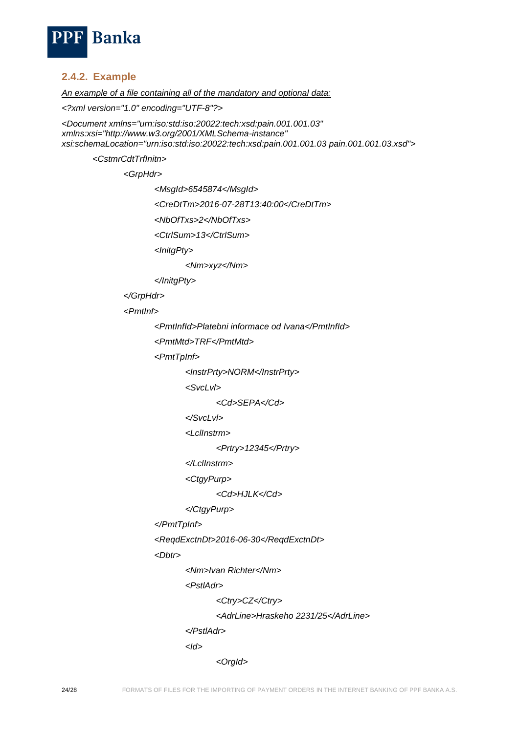

## <span id="page-23-0"></span>**2.4.2. Example**

*An example of a file containing all of the mandatory and optional data:*

*<?xml version="1.0" encoding="UTF-8"?>*

*<Document xmlns="urn:iso:std:iso:20022:tech:xsd:pain.001.001.03" xmlns:xsi="http://www.w3.org/2001/XMLSchema-instance" xsi:schemaLocation="urn:iso:std:iso:20022:tech:xsd:pain.001.001.03 pain.001.001.03.xsd">*

*<CstmrCdtTrfInitn>*

*<GrpHdr>*

*<MsgId>6545874</MsgId>*

*<CreDtTm>2016-07-28T13:40:00</CreDtTm>*

*<NbOfTxs>2</NbOfTxs>*

*<CtrlSum>13</CtrlSum>*

*<InitgPty>*

*<Nm>xyz</Nm>*

*</InitgPty>*

*</GrpHdr>*

*<PmtInf>*

*<PmtInfId>Platebni informace od Ivana</PmtInfId>*

*<PmtMtd>TRF</PmtMtd>*

*<PmtTpInf>*

*<InstrPrty>NORM</InstrPrty>*

*<SvcLvl>*

*<Cd>SEPA</Cd>*

*</SvcLvl>*

*<LclInstrm>*

*<Prtry>12345</Prtry>*

*</LclInstrm>*

*<CtgyPurp>*

*<Cd>HJLK</Cd>*

```
</CtgyPurp>
```

```
</PmtTpInf>
```
*<ReqdExctnDt>2016-06-30</ReqdExctnDt>*

*<Dbtr>*

*<Nm>Ivan Richter</Nm>*

*<PstlAdr>*

*<Ctry>CZ</Ctry>*

*<AdrLine>Hraskeho 2231/25</AdrLine>*

*</PstlAdr>*

*<Id>*

*<OrgId>*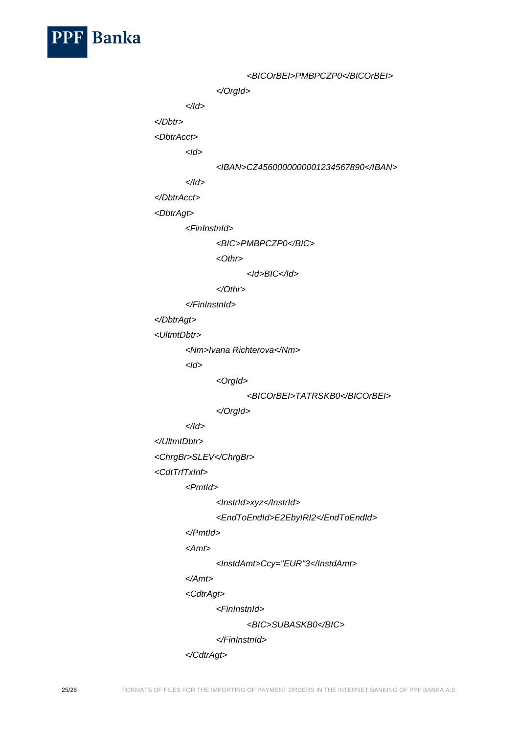

*<BICOrBEI>PMBPCZP0</BICOrBEI> </OrgId> </Id> </Dbtr> <DbtrAcct> <Id> <IBAN>CZ4560000000001234567890</IBAN> </Id> </DbtrAcct> <DbtrAgt> <FinInstnId> <BIC>PMBPCZP0</BIC> <Othr> <Id>BIC</Id> </Othr> </FinInstnId> </DbtrAgt> <UltmtDbtr> <Nm>Ivana Richterova</Nm> <Id> <OrgId> <BICOrBEI>TATRSKB0</BICOrBEI> </OrgId> </Id> </UltmtDbtr> <ChrgBr>SLEV</ChrgBr> <CdtTrfTxInf> <PmtId> <InstrId>xyz</InstrId> <EndToEndId>E2EbyIRI2</EndToEndId> </PmtId> <Amt> <InstdAmt>Ccy="EUR"3</InstdAmt> </Amt> <CdtrAgt> <FinInstnId> <BIC>SUBASKB0</BIC> </FinInstnId>*

```
</CdtrAgt>
```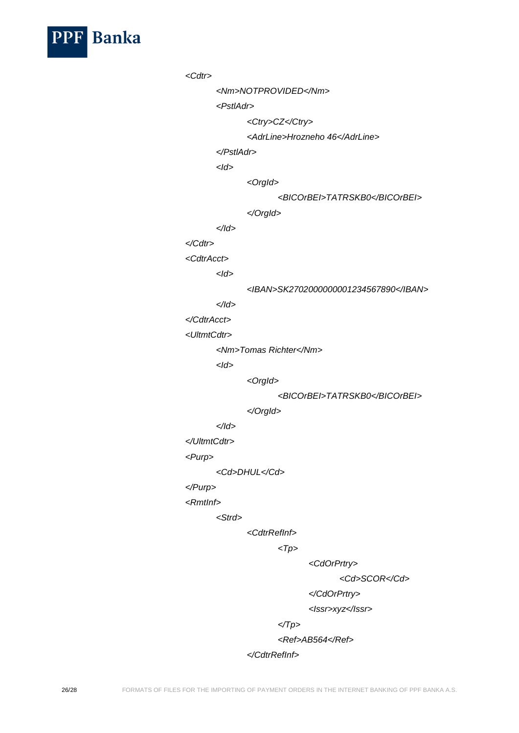

*<Cdtr> <Nm>NOTPROVIDED</Nm> <PstlAdr> <Ctry>CZ</Ctry> <AdrLine>Hrozneho 46</AdrLine> </PstlAdr> <Id> <OrgId> <BICOrBEI>TATRSKB0</BICOrBEI> </OrgId> </Id> </Cdtr> <CdtrAcct> <Id> <IBAN>SK2702000000001234567890</IBAN> </Id> </CdtrAcct> <UltmtCdtr> <Nm>Tomas Richter</Nm> <Id> <OrgId> <BICOrBEI>TATRSKB0</BICOrBEI> </OrgId> </Id> </UltmtCdtr> <Purp> <Cd>DHUL</Cd> </Purp> <RmtInf> <Strd> <CdtrRefInf> <Tp> <CdOrPrtry> <Cd>SCOR</Cd>*

*</CdOrPrtry>*

*<Issr>xyz</Issr>*

*</Tp>*

*<Ref>AB564</Ref>*

*</CdtrRefInf>*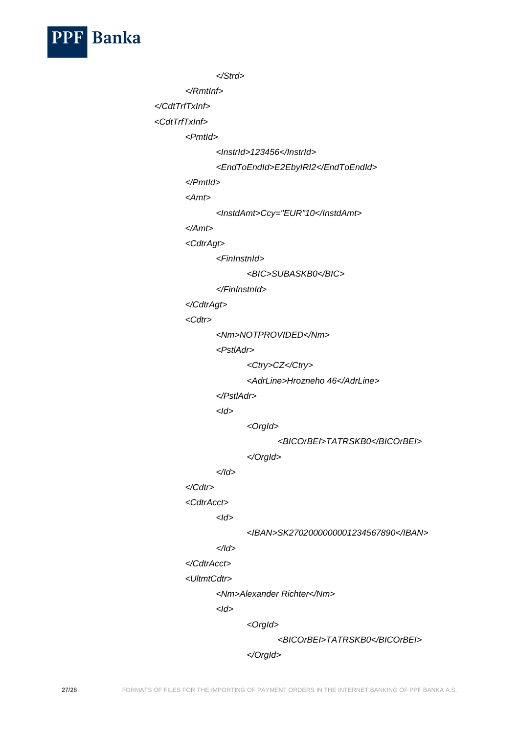

```
</Strd>
```
*</RmtInf>*

*</CdtTrfTxInf>*

*<CdtTrfTxInf>*

*<PmtId>*

*<InstrId>123456</InstrId>*

```
<EndToEndId>E2EbyIRI2</EndToEndId>
```
*</PmtId>*

*<Amt>*

*<InstdAmt>Ccy="EUR"10</InstdAmt>*

*</Amt>*

*<CdtrAgt>*

*<FinInstnId>*

```
<BIC>SUBASKB0</BIC>
```
*</FinInstnId>*

*</CdtrAgt>*

*<Cdtr>*

*<Nm>NOTPROVIDED</Nm>*

*<PstlAdr>*

*<Ctry>CZ</Ctry>*

*<AdrLine>Hrozneho 46</AdrLine>*

*</PstlAdr>*

*<Id>*

*<OrgId>*

*<BICOrBEI>TATRSKB0</BICOrBEI>*

*</OrgId>*

*</Id>*

## *</Cdtr>*

*<CdtrAcct>*

*<Id>*

*<IBAN>SK2702000000001234567890</IBAN>*

# *</Id>*

*</CdtrAcct>*

*<UltmtCdtr>*

*<Nm>Alexander Richter</Nm>*

*<Id>*

*<OrgId>*

*<BICOrBEI>TATRSKB0</BICOrBEI>*

*</OrgId>*